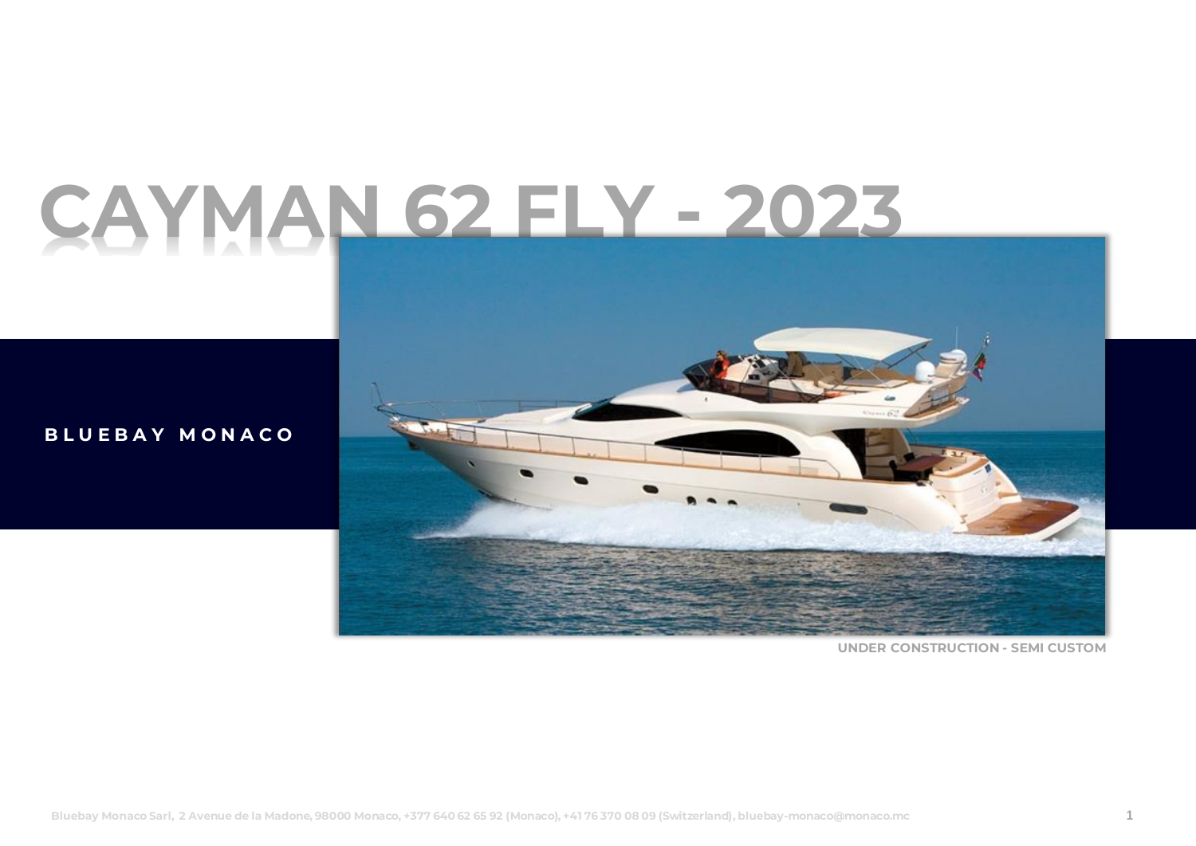# **CAYMAN 62 FLY - 2023**





**UNDER CONSTRUCTION - SEMI CUSTOM**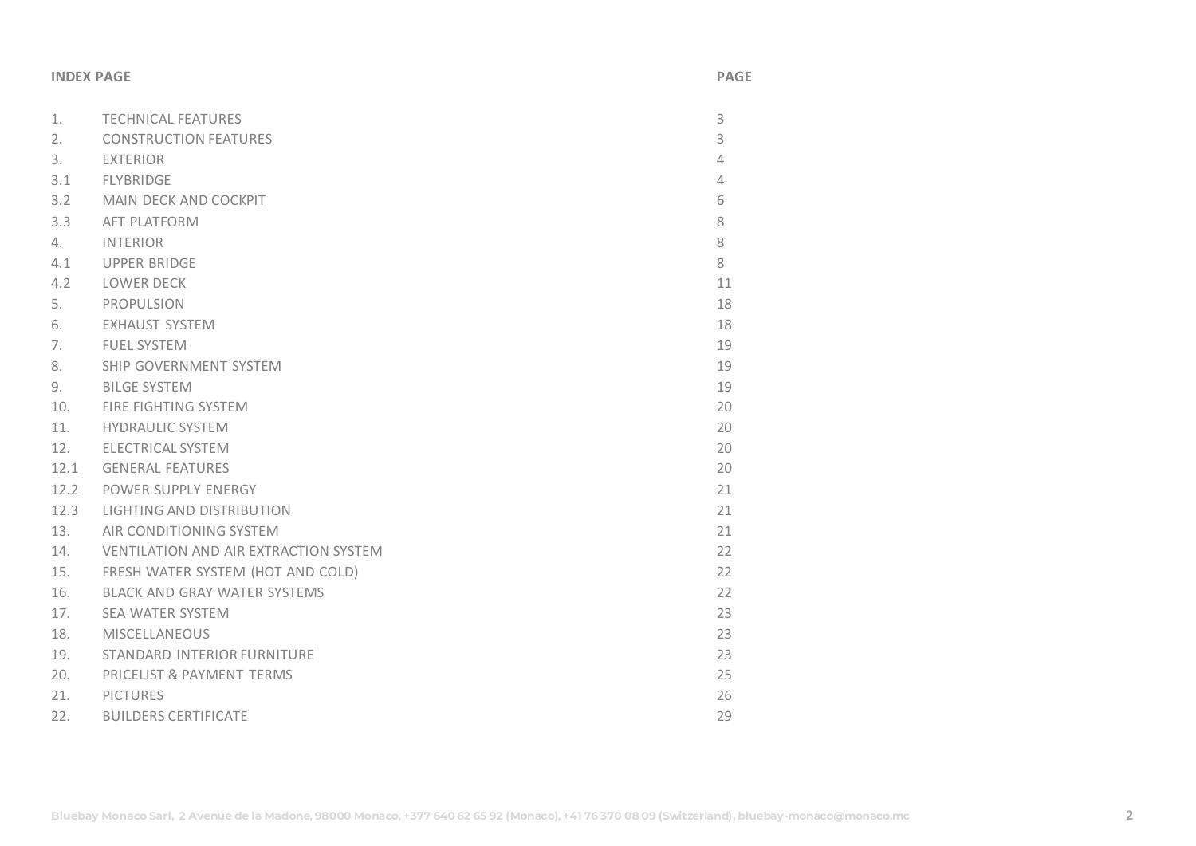# **INDEX PAGE PAGE**

| 3<br><b>CONSTRUCTION FEATURES</b><br>2.<br>$\overline{4}$<br>3.<br><b>EXTERIOR</b><br>3.1<br><b>FLYBRIDGE</b><br>4<br>6<br>3.2<br>MAIN DECK AND COCKPIT<br>$\,8\,$<br>3.3<br><b>AFT PLATFORM</b><br>8<br>4.<br><b>INTERIOR</b><br>8<br>4.1<br><b>UPPER BRIDGE</b><br>11<br>4.2<br><b>LOWER DECK</b><br>18<br>5.<br>PROPULSION<br>18<br>6.<br><b>EXHAUST SYSTEM</b><br>19<br>7.<br><b>FUEL SYSTEM</b><br>19<br>8.<br>SHIP GOVERNMENT SYSTEM<br>19<br>9.<br><b>BILGE SYSTEM</b><br>20<br>10.<br>FIRE FIGHTING SYSTEM<br>20<br>11.<br><b>HYDRAULIC SYSTEM</b><br><b>ELECTRICAL SYSTEM</b><br>20<br>12.<br>20<br>12.1<br><b>GENERAL FEATURES</b><br>12.2<br>POWER SUPPLY ENERGY<br>21<br>12.3<br>LIGHTING AND DISTRIBUTION<br>21<br>21<br>AIR CONDITIONING SYSTEM<br>13.<br>22<br>14.<br>VENTILATION AND AIR EXTRACTION SYSTEM<br>22<br>FRESH WATER SYSTEM (HOT AND COLD)<br>15.<br>22<br>16.<br>BLACK AND GRAY WATER SYSTEMS<br>23<br>17.<br>SEA WATER SYSTEM<br>23<br>18.<br><b>MISCELLANEOUS</b><br>STANDARD INTERIOR FURNITURE<br>23<br>19.<br>25<br>20.<br>PRICELIST & PAYMENT TERMS | 1.  | <b>TECHNICAL FEATURES</b> | 3  |
|---------------------------------------------------------------------------------------------------------------------------------------------------------------------------------------------------------------------------------------------------------------------------------------------------------------------------------------------------------------------------------------------------------------------------------------------------------------------------------------------------------------------------------------------------------------------------------------------------------------------------------------------------------------------------------------------------------------------------------------------------------------------------------------------------------------------------------------------------------------------------------------------------------------------------------------------------------------------------------------------------------------------------------------------------------------------------------------|-----|---------------------------|----|
|                                                                                                                                                                                                                                                                                                                                                                                                                                                                                                                                                                                                                                                                                                                                                                                                                                                                                                                                                                                                                                                                                       |     |                           |    |
|                                                                                                                                                                                                                                                                                                                                                                                                                                                                                                                                                                                                                                                                                                                                                                                                                                                                                                                                                                                                                                                                                       |     |                           |    |
|                                                                                                                                                                                                                                                                                                                                                                                                                                                                                                                                                                                                                                                                                                                                                                                                                                                                                                                                                                                                                                                                                       |     |                           |    |
|                                                                                                                                                                                                                                                                                                                                                                                                                                                                                                                                                                                                                                                                                                                                                                                                                                                                                                                                                                                                                                                                                       |     |                           |    |
|                                                                                                                                                                                                                                                                                                                                                                                                                                                                                                                                                                                                                                                                                                                                                                                                                                                                                                                                                                                                                                                                                       |     |                           |    |
|                                                                                                                                                                                                                                                                                                                                                                                                                                                                                                                                                                                                                                                                                                                                                                                                                                                                                                                                                                                                                                                                                       |     |                           |    |
|                                                                                                                                                                                                                                                                                                                                                                                                                                                                                                                                                                                                                                                                                                                                                                                                                                                                                                                                                                                                                                                                                       |     |                           |    |
|                                                                                                                                                                                                                                                                                                                                                                                                                                                                                                                                                                                                                                                                                                                                                                                                                                                                                                                                                                                                                                                                                       |     |                           |    |
|                                                                                                                                                                                                                                                                                                                                                                                                                                                                                                                                                                                                                                                                                                                                                                                                                                                                                                                                                                                                                                                                                       |     |                           |    |
|                                                                                                                                                                                                                                                                                                                                                                                                                                                                                                                                                                                                                                                                                                                                                                                                                                                                                                                                                                                                                                                                                       |     |                           |    |
|                                                                                                                                                                                                                                                                                                                                                                                                                                                                                                                                                                                                                                                                                                                                                                                                                                                                                                                                                                                                                                                                                       |     |                           |    |
|                                                                                                                                                                                                                                                                                                                                                                                                                                                                                                                                                                                                                                                                                                                                                                                                                                                                                                                                                                                                                                                                                       |     |                           |    |
|                                                                                                                                                                                                                                                                                                                                                                                                                                                                                                                                                                                                                                                                                                                                                                                                                                                                                                                                                                                                                                                                                       |     |                           |    |
|                                                                                                                                                                                                                                                                                                                                                                                                                                                                                                                                                                                                                                                                                                                                                                                                                                                                                                                                                                                                                                                                                       |     |                           |    |
|                                                                                                                                                                                                                                                                                                                                                                                                                                                                                                                                                                                                                                                                                                                                                                                                                                                                                                                                                                                                                                                                                       |     |                           |    |
|                                                                                                                                                                                                                                                                                                                                                                                                                                                                                                                                                                                                                                                                                                                                                                                                                                                                                                                                                                                                                                                                                       |     |                           |    |
|                                                                                                                                                                                                                                                                                                                                                                                                                                                                                                                                                                                                                                                                                                                                                                                                                                                                                                                                                                                                                                                                                       |     |                           |    |
|                                                                                                                                                                                                                                                                                                                                                                                                                                                                                                                                                                                                                                                                                                                                                                                                                                                                                                                                                                                                                                                                                       |     |                           |    |
|                                                                                                                                                                                                                                                                                                                                                                                                                                                                                                                                                                                                                                                                                                                                                                                                                                                                                                                                                                                                                                                                                       |     |                           |    |
|                                                                                                                                                                                                                                                                                                                                                                                                                                                                                                                                                                                                                                                                                                                                                                                                                                                                                                                                                                                                                                                                                       |     |                           |    |
|                                                                                                                                                                                                                                                                                                                                                                                                                                                                                                                                                                                                                                                                                                                                                                                                                                                                                                                                                                                                                                                                                       |     |                           |    |
|                                                                                                                                                                                                                                                                                                                                                                                                                                                                                                                                                                                                                                                                                                                                                                                                                                                                                                                                                                                                                                                                                       |     |                           |    |
|                                                                                                                                                                                                                                                                                                                                                                                                                                                                                                                                                                                                                                                                                                                                                                                                                                                                                                                                                                                                                                                                                       |     |                           |    |
|                                                                                                                                                                                                                                                                                                                                                                                                                                                                                                                                                                                                                                                                                                                                                                                                                                                                                                                                                                                                                                                                                       |     |                           |    |
|                                                                                                                                                                                                                                                                                                                                                                                                                                                                                                                                                                                                                                                                                                                                                                                                                                                                                                                                                                                                                                                                                       |     |                           |    |
|                                                                                                                                                                                                                                                                                                                                                                                                                                                                                                                                                                                                                                                                                                                                                                                                                                                                                                                                                                                                                                                                                       |     |                           |    |
|                                                                                                                                                                                                                                                                                                                                                                                                                                                                                                                                                                                                                                                                                                                                                                                                                                                                                                                                                                                                                                                                                       |     |                           |    |
|                                                                                                                                                                                                                                                                                                                                                                                                                                                                                                                                                                                                                                                                                                                                                                                                                                                                                                                                                                                                                                                                                       | 21. | <b>PICTURES</b>           | 26 |
| 29<br>22.<br><b>BUILDERS CERTIFICATE</b>                                                                                                                                                                                                                                                                                                                                                                                                                                                                                                                                                                                                                                                                                                                                                                                                                                                                                                                                                                                                                                              |     |                           |    |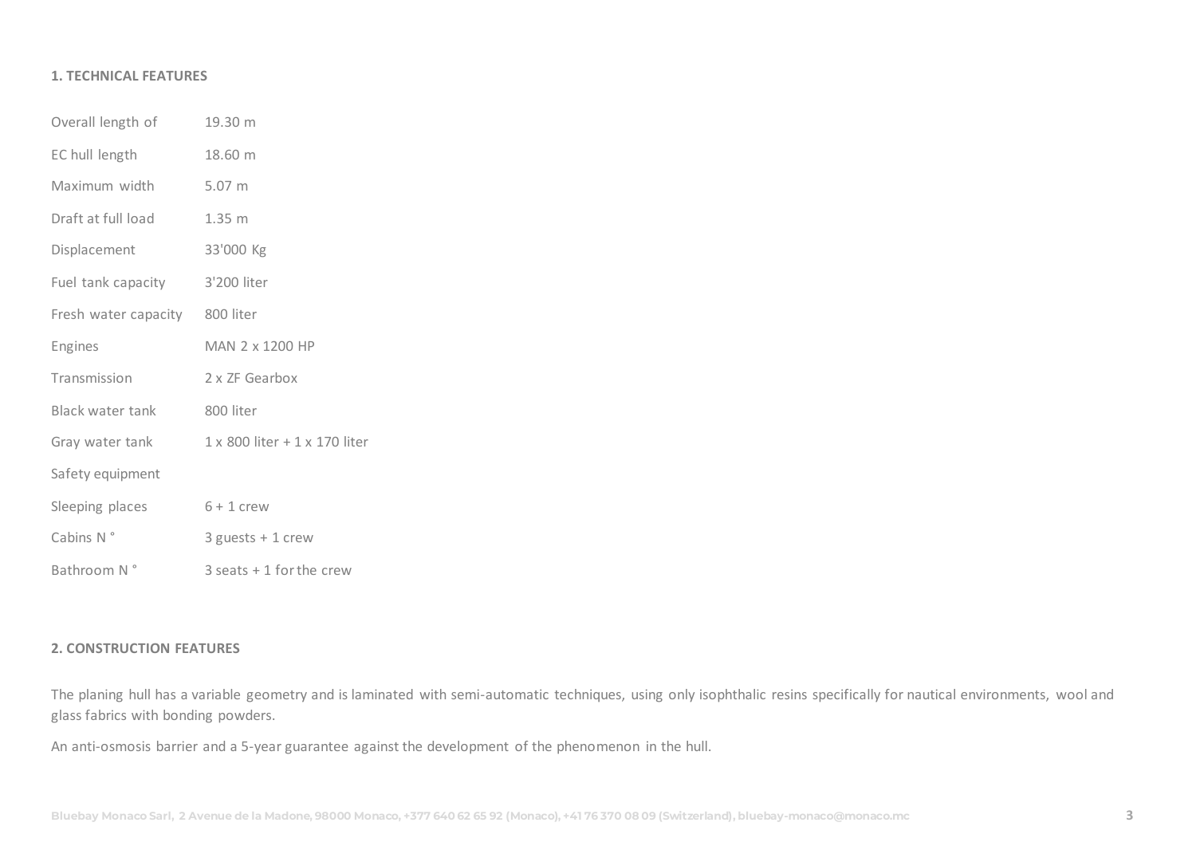#### **1. TECHNICAL FEATURES**

| Overall length of    | 19.30 m                                    |
|----------------------|--------------------------------------------|
| EC hull length       | 18.60 m                                    |
| Maximum width        | 5.07 m                                     |
| Draft at full load   | 1.35 m                                     |
| Displacement         | 33'000 Kg                                  |
| Fuel tank capacity   | 3'200 liter                                |
| Fresh water capacity | 800 liter                                  |
| Engines              | MAN 2 x 1200 HP                            |
| Transmission         | 2 x ZF Gearbox                             |
| Black water tank     | 800 liter                                  |
| Gray water tank      | 1 x 800 liter + 1 x 170 liter              |
| Safety equipment     |                                            |
| Sleeping places      | $6 + 1$ crew                               |
| Cabins N°            | 3 guests + 1 crew                          |
| Bathroom N°          | $3 \text{ seats} + 1 \text{ for the crew}$ |

# **2. CONSTRUCTION FEATURES**

The planing hull has a variable geometry and is laminated with semi-automatic techniques, using only isophthalic resins specifically for nautical environments, wool and glass fabrics with bonding powders.

An anti-osmosis barrier and a 5-year guarantee against the development of the phenomenon in the hull.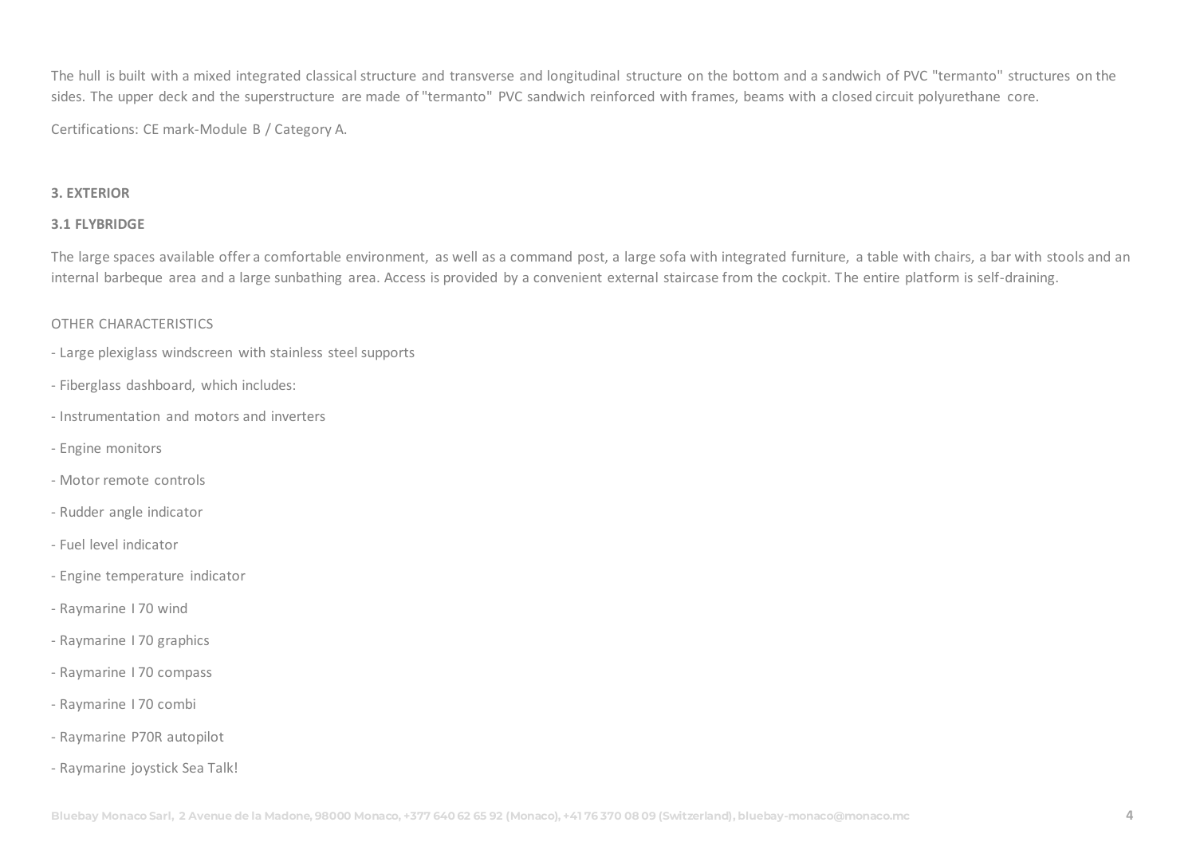The hull is built with a mixed integrated classical structure and transverse and longitudinal structure on the bottom and a sandwich of PVC "termanto" structures on the sides. The upper deck and the superstructure are made of "termanto" PVC sandwich reinforced with frames, beams with a closed circuit polyurethane core.

Certifications: CE mark-Module B / Category A.

# **3. EXTERIOR**

# **3.1 FLYBRIDGE**

The large spaces available offer a comfortable environment, as well as a command post, a large sofa with integrated furniture, a table with chairs, a bar with stools and an internal barbeque area and a large sunbathing area. Access is provided by a convenient external staircase from the cockpit. The entire platform is self-draining.

# OTHER CHARACTERISTICS

- Large plexiglass windscreen with stainless steel supports
- Fiberglass dashboard, which includes:
- Instrumentation and motors and inverters
- Engine monitors
- Motor remote controls
- Rudder angle indicator
- Fuel level indicator
- Engine temperature indicator
- Raymarine I 70 wind
- Raymarine I 70 graphics
- Raymarine I 70 compass
- Raymarine I 70 combi
- Raymarine P70R autopilot
- Raymarine joystick Sea Talk!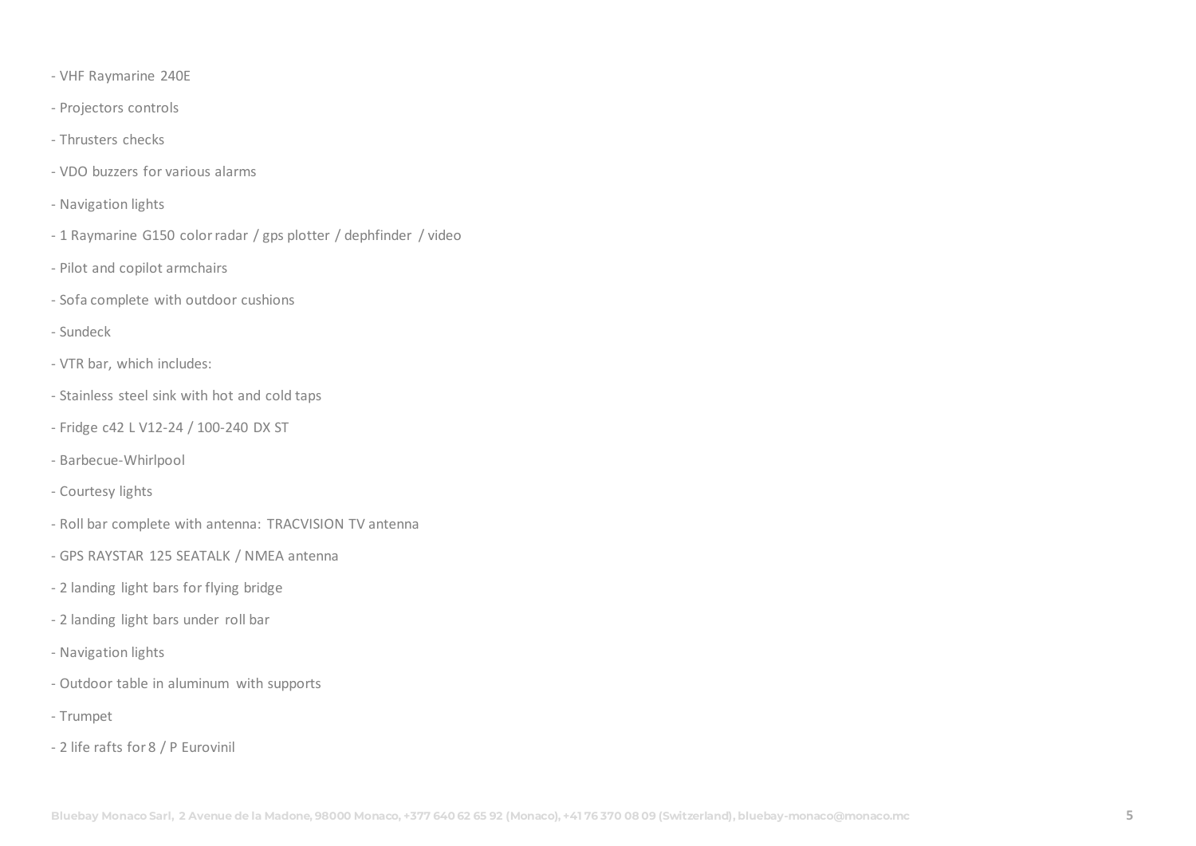- VHF Raymarine 240E
- Projectors controls
- Thrusters checks
- VDO buzzers for various alarms
- Navigation lights
- 1 Raymarine G150 color radar / gps plotter / dephfinder / video
- Pilot and copilot armchairs
- Sofa complete with outdoor cushions
- Sundeck
- VTR bar, which includes:
- Stainless steel sink with hot and cold taps
- Fridge c42 L V12-24 / 100-240 DX ST
- Barbecue-Whirlpool
- Courtesy lights
- Roll bar complete with antenna: TRACVISION TV antenna
- GPS RAYSTAR 125 SEATALK / NMEA antenna
- 2 landing light bars for flying bridge
- 2 landing light bars under roll bar
- Navigation lights
- Outdoor table in aluminum with supports
- Trumpet
- 2 life rafts for 8 / P Eurovinil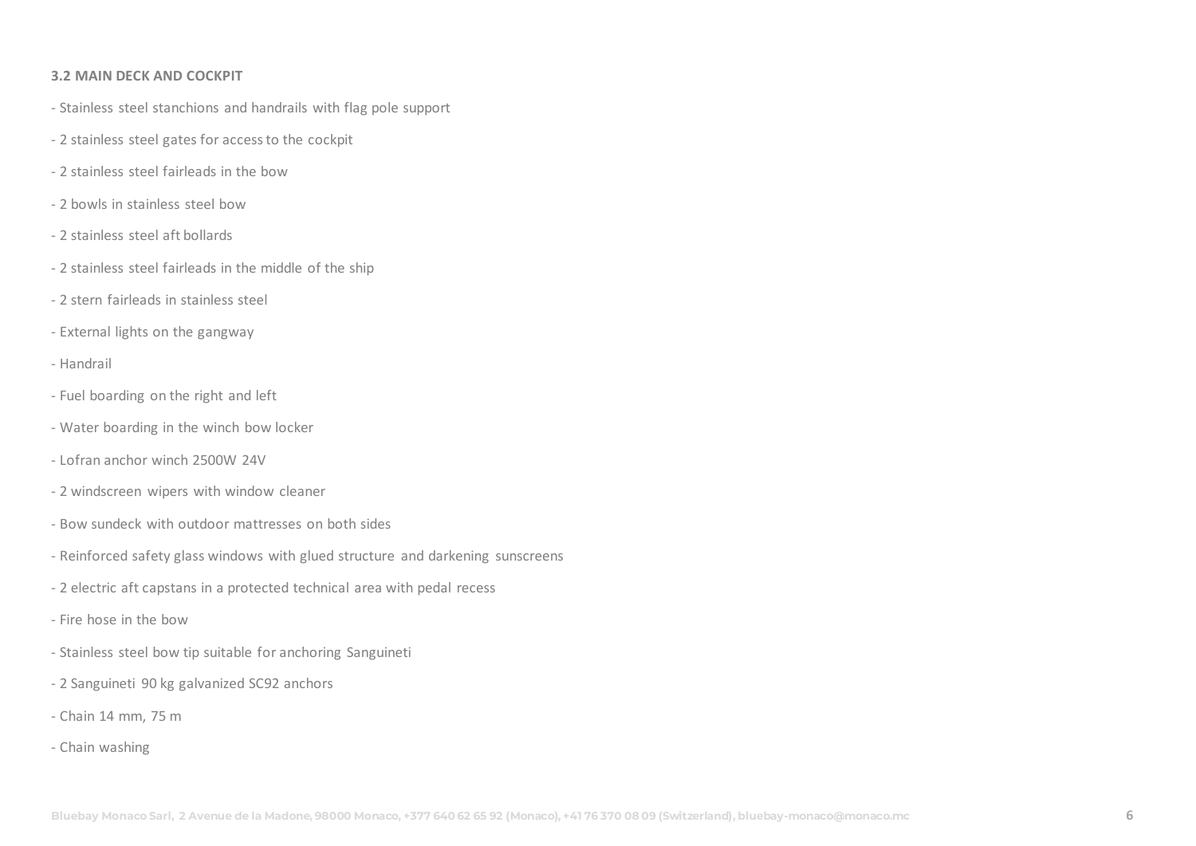#### **3.2 MAIN DECK AND COCKPIT**

- Stainless steel stanchions and handrails with flag pole support
- 2 stainless steel gates for access to the cockpit
- 2 stainless steel fairleads in the bow
- 2 bowls in stainless steel bow
- 2 stainless steel aft bollards
- 2 stainless steel fairleads in the middle of the ship
- 2 stern fairleads in stainless steel
- External lights on the gangway
- Handrail
- Fuel boarding on the right and left
- Water boarding in the winch bow locker
- Lofran anchor winch 2500W 24V
- 2 windscreen wipers with window cleaner
- Bow sundeck with outdoor mattresses on both sides
- Reinforced safety glass windows with glued structure and darkening sunscreens
- 2 electric aft capstans in a protected technical area with pedal recess
- Fire hose in the bow
- Stainless steel bow tip suitable for anchoring Sanguineti
- 2 Sanguineti 90 kg galvanized SC92 anchors
- Chain 14 mm, 75 m
- Chain washing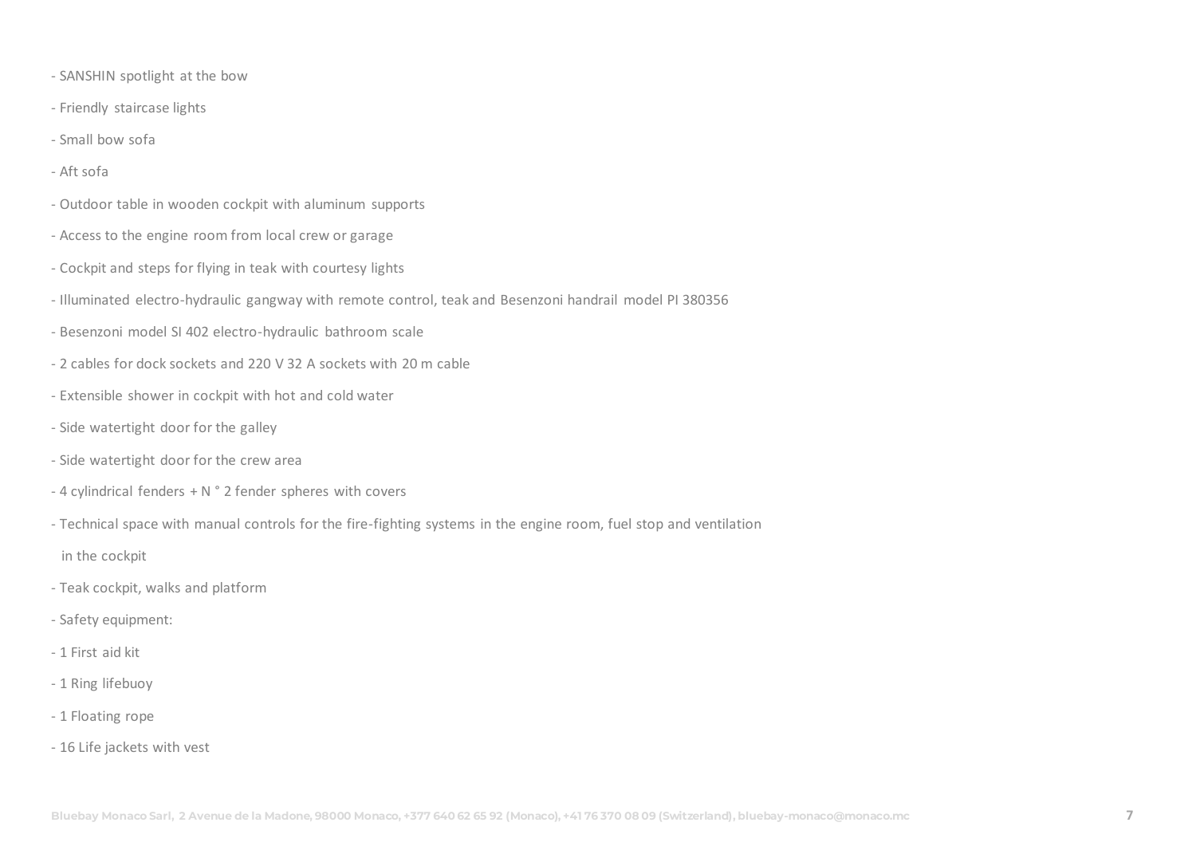- SANSHIN spotlight at the bow
- Friendly staircase lights
- Small bow sofa
- Aft sofa
- Outdoor table in wooden cockpit with aluminum supports
- Access to the engine room from local crew or garage
- Cockpit and steps for flying in teak with courtesy lights
- Illuminated electro-hydraulic gangway with remote control, teak and Besenzoni handrail model PI 380356
- Besenzoni model SI 402 electro-hydraulic bathroom scale
- 2 cables for dock sockets and 220 V 32 A sockets with 20 m cable
- Extensible shower in cockpit with hot and cold water
- Side watertight door for the galley
- Side watertight door for the crew area
- 4 cylindrical fenders + N ° 2 fender spheres with covers
- Technical space with manual controls for the fire-fighting systems in the engine room, fuel stop and ventilation in the cockpit
- Teak cockpit, walks and platform
- Safety equipment:
- 1 First aid kit
- 1 Ring lifebuoy
- 1 Floating rope
- 16 Life jackets with vest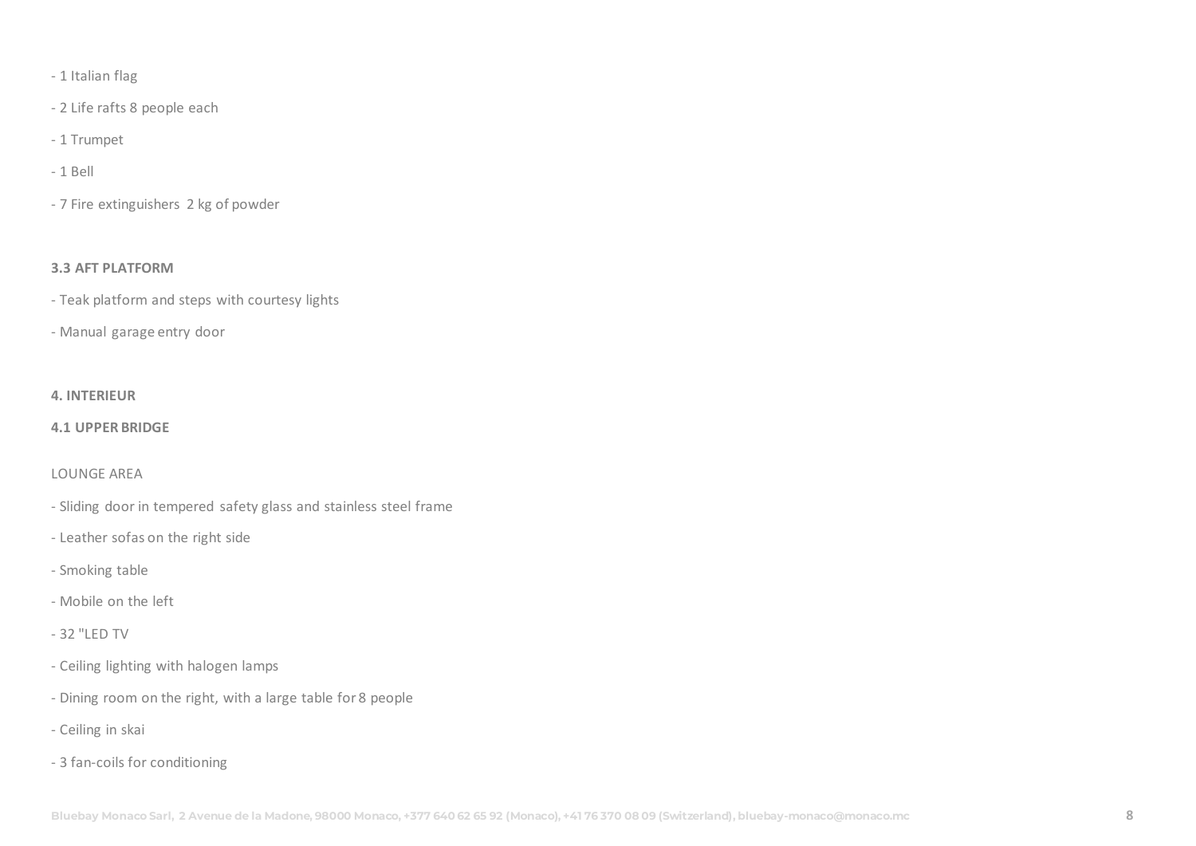- 1 Italian flag
- 2 Life rafts 8 people each
- 1 Trumpet
- 1 Bell
- 7 Fire extinguishers 2 kg of powder

#### **3.3 AFT PLATFORM**

- Teak platform and steps with courtesy lights
- Manual garage entry door

#### **4. INTERIEUR**

## **4.1 UPPER BRIDGE**

# LOUNGE AREA

- Sliding door in tempered safety glass and stainless steel frame
- Leather sofas on the right side
- Smoking table
- Mobile on the left

# - 32 "LED TV

- Ceiling lighting with halogen lamps
- Dining room on the right, with a large table for 8 people
- Ceiling in skai
- 3 fan-coils for conditioning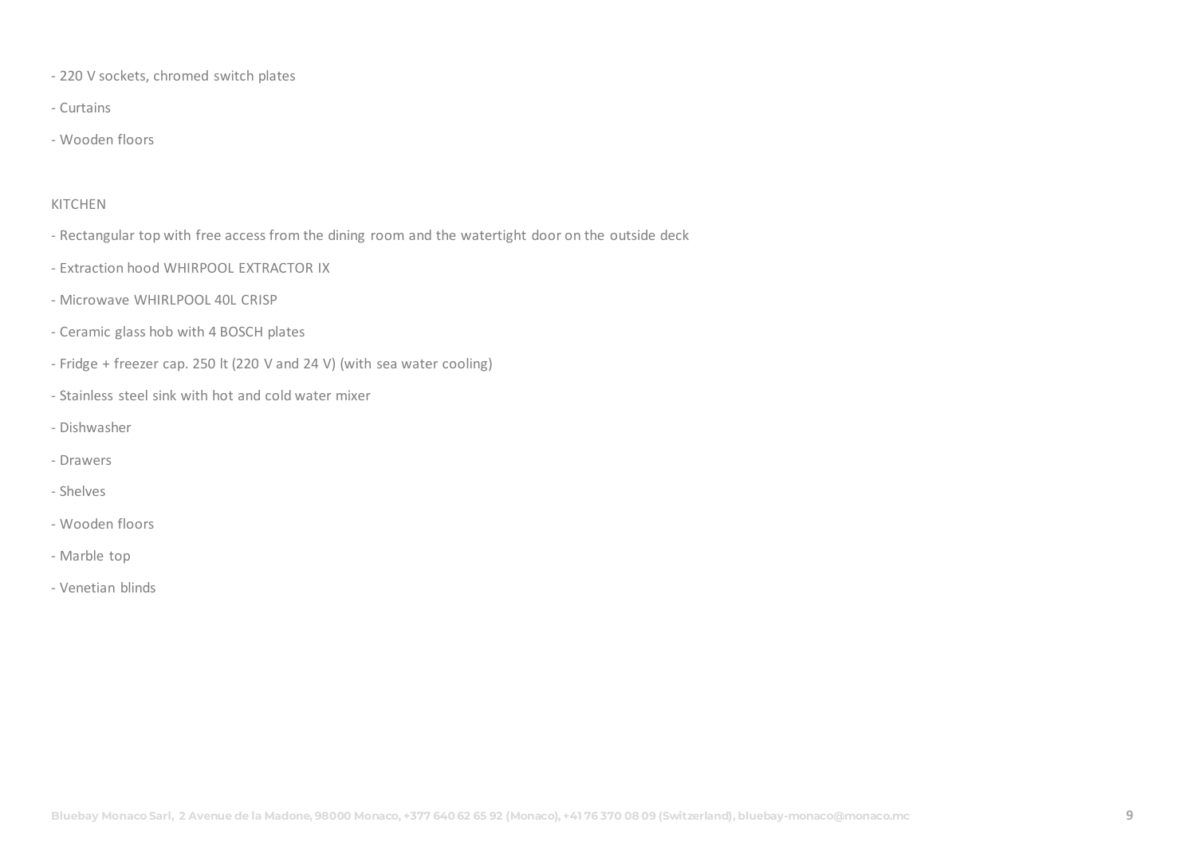- 220 V sockets, chromed switch plates
- Curtains
- Wooden floors

# KITCHEN

- Rectangular top with free access from the dining room and the watertight door on the outside deck
- Extraction hood WHIRPOOL EXTRACTOR IX
- Microwave WHIRLPOOL 40L CRISP
- Ceramic glass hob with 4 BOSCH plates
- Fridge + freezer cap. 250 lt (220 V and 24 V) (with sea water cooling)
- Stainless steel sink with hot and cold water mixer
- Dishwasher
- Drawers
- Shelves
- Wooden floors
- Marble top
- Venetian blinds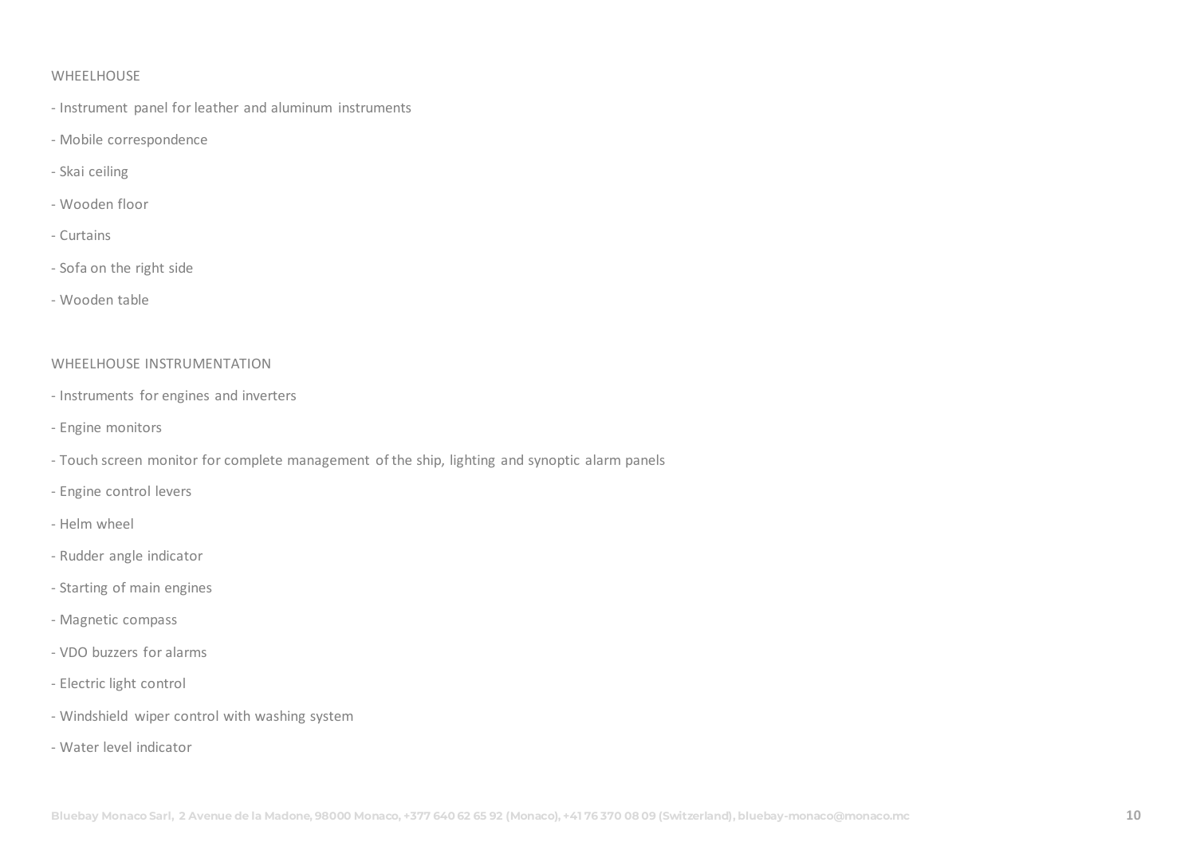# WHEELHOUSE

- Instrument panel for leather and aluminum instruments
- Mobile correspondence
- Skai ceiling
- Wooden floor
- Curtains
- Sofa on the right side
- Wooden table

# WHEELHOUSE INSTRUMENTATION

- Instruments for engines and inverters
- Engine monitors
- Touch screen monitor for complete management of the ship, lighting and synoptic alarm panels
- Engine control levers
- Helm wheel
- Rudder angle indicator
- Starting of main engines
- Magnetic compass
- VDO buzzers for alarms
- Electric light control
- Windshield wiper control with washing system
- Water level indicator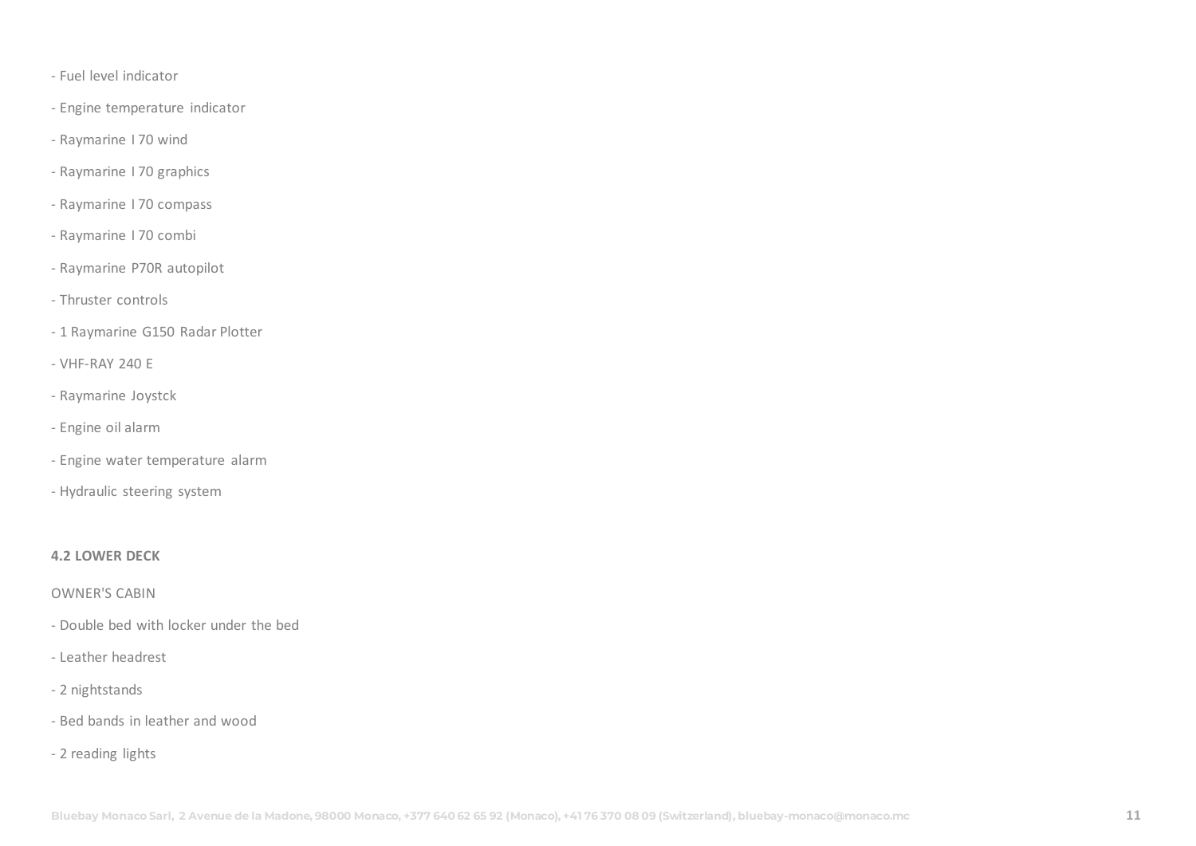- Fuel level indicator
- Engine temperature indicator
- Raymarine I 70 wind
- Raymarine I 70 graphics
- Raymarine I 70 compass
- Raymarine I 70 combi
- Raymarine P70R autopilot
- Thruster controls
- 1 Raymarine G150 Radar Plotter
- VHF-RAY 240 E
- Raymarine Joystck
- Engine oil alarm
- Engine water temperature alarm
- Hydraulic steering system

# **4.2 LOWER DECK**

# OWNER'S CABIN

- Double bed with locker under the bed
- Leather headrest
- 2 nightstands
- Bed bands in leather and wood
- 2 reading lights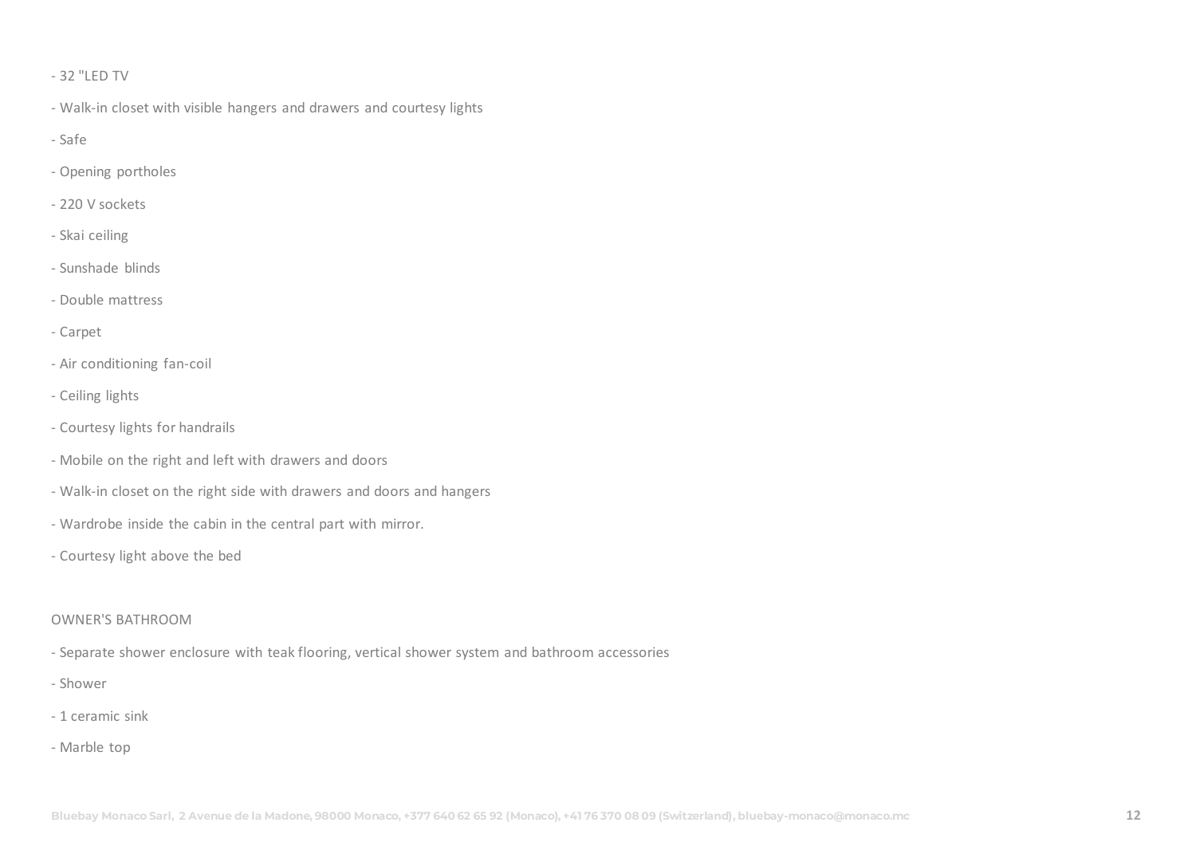# - 32 "LED TV

- Walk-in closet with visible hangers and drawers and courtesy lights
- Safe
- Opening portholes
- 220 V sockets
- Skai ceiling
- Sunshade blinds
- Double mattress
- Carpet
- Air conditioning fan-coil
- Ceiling lights
- Courtesy lights for handrails
- Mobile on the right and left with drawers and doors
- Walk-in closet on the right side with drawers and doors and hangers
- Wardrobe inside the cabin in the central part with mirror.
- Courtesy light above the bed

# OWNER'S BATHROOM

- Separate shower enclosure with teak flooring, vertical shower system and bathroom accessories
- Shower
- 1 ceramic sink
- Marble top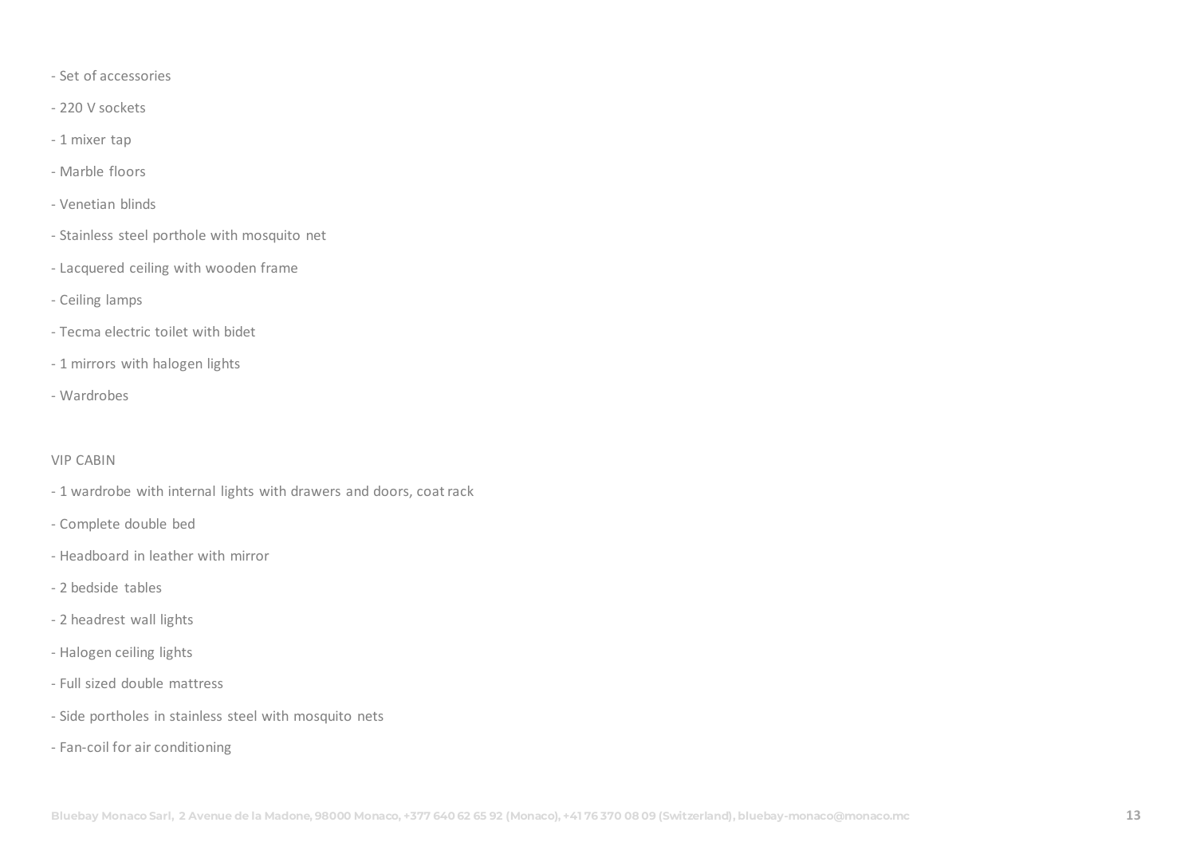- Set of accessories
- 220 V sockets
- 1 mixer tap
- Marble floors
- Venetian blinds
- Stainless steel porthole with mosquito net
- Lacquered ceiling with wooden frame
- Ceiling lamps
- Tecma electric toilet with bidet
- 1 mirrors with halogen lights
- Wardrobes

# VIP CABIN

- 1 wardrobe with internal lights with drawers and doors, coat rack
- Complete double bed
- Headboard in leather with mirror
- 2 bedside tables
- 2 headrest wall lights
- Halogen ceiling lights
- Full sized double mattress
- Side portholes in stainless steel with mosquito nets
- Fan-coil for air conditioning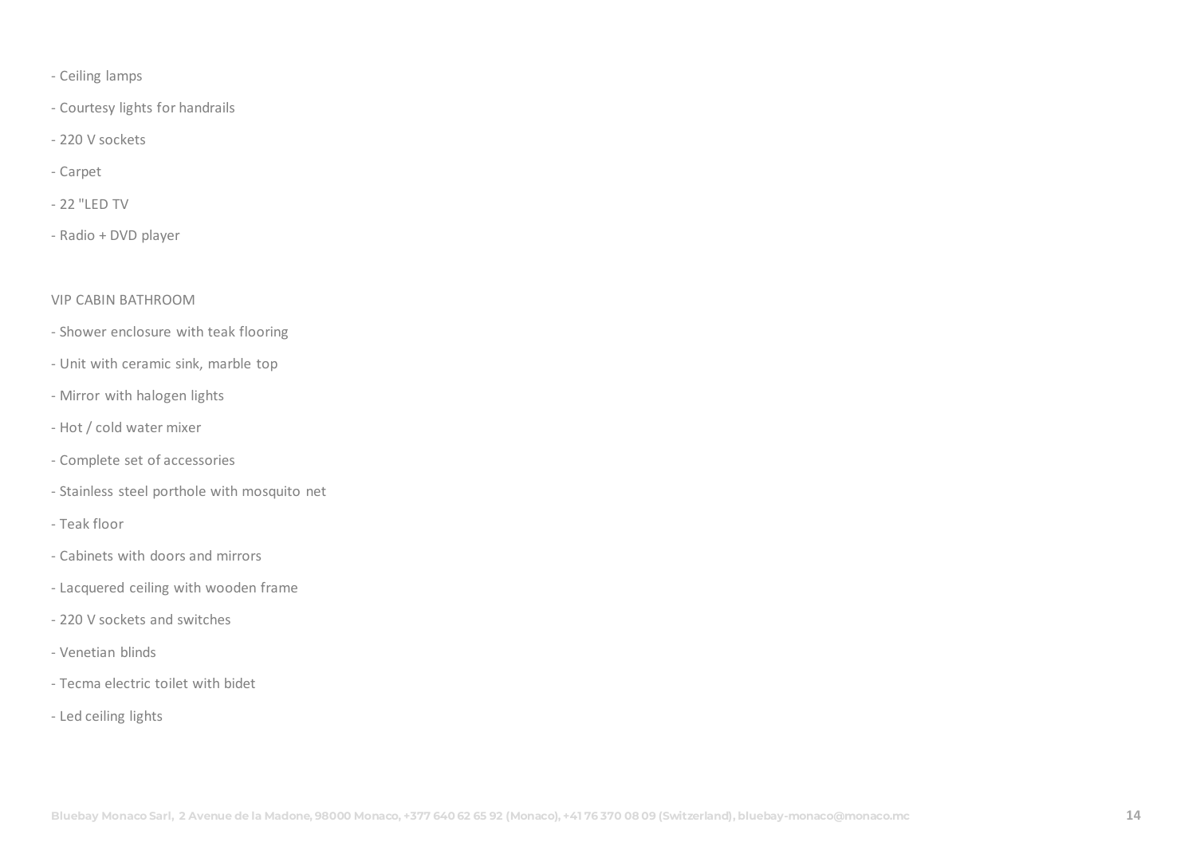- Ceiling lamps
- Courtesy lights for handrails
- 220 V sockets
- Carpet
- 22 "LED TV
- Radio + DVD player

# VIP CABIN BATHROOM

- Shower enclosure with teak flooring
- Unit with ceramic sink, marble top
- Mirror with halogen lights
- Hot / cold water mixer
- Complete set of accessories
- Stainless steel porthole with mosquito net
- Teak floor
- Cabinets with doors and mirrors
- Lacquered ceiling with wooden frame
- 220 V sockets and switches
- Venetian blinds
- Tecma electric toilet with bidet
- Led ceiling lights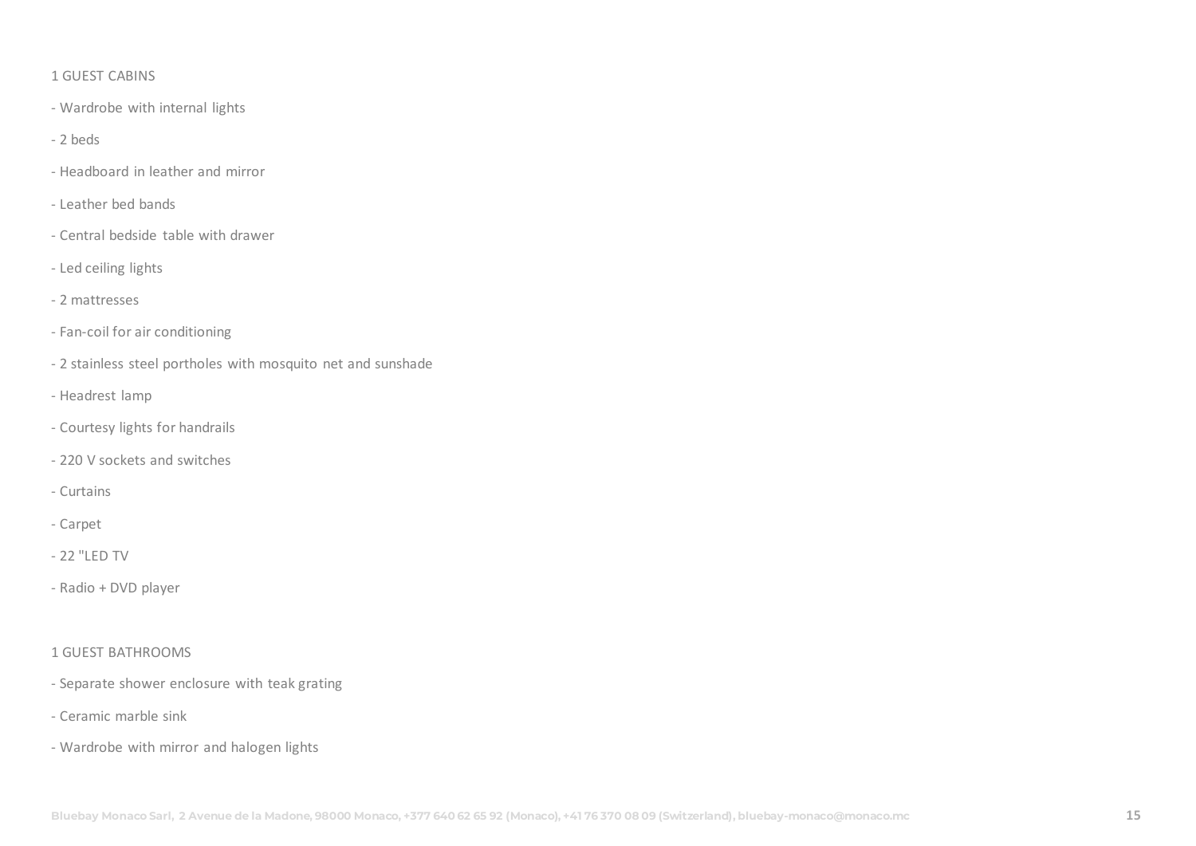# 1 GUEST CABINS

- Wardrobe with internal lights
- 2 beds
- Headboard in leather and mirror
- Leather bed bands
- Central bedside table with drawer
- Led ceiling lights
- 2 mattresses
- Fan-coil for air conditioning
- 2 stainless steel portholes with mosquito net and sunshade
- Headrest lamp
- Courtesy lights for handrails
- 220 V sockets and switches
- Curtains
- Carpet
- 22 "LED TV
- Radio + DVD player

#### 1 GUEST BATHROOMS

- Separate shower enclosure with teak grating
- Ceramic marble sink
- Wardrobe with mirror and halogen lights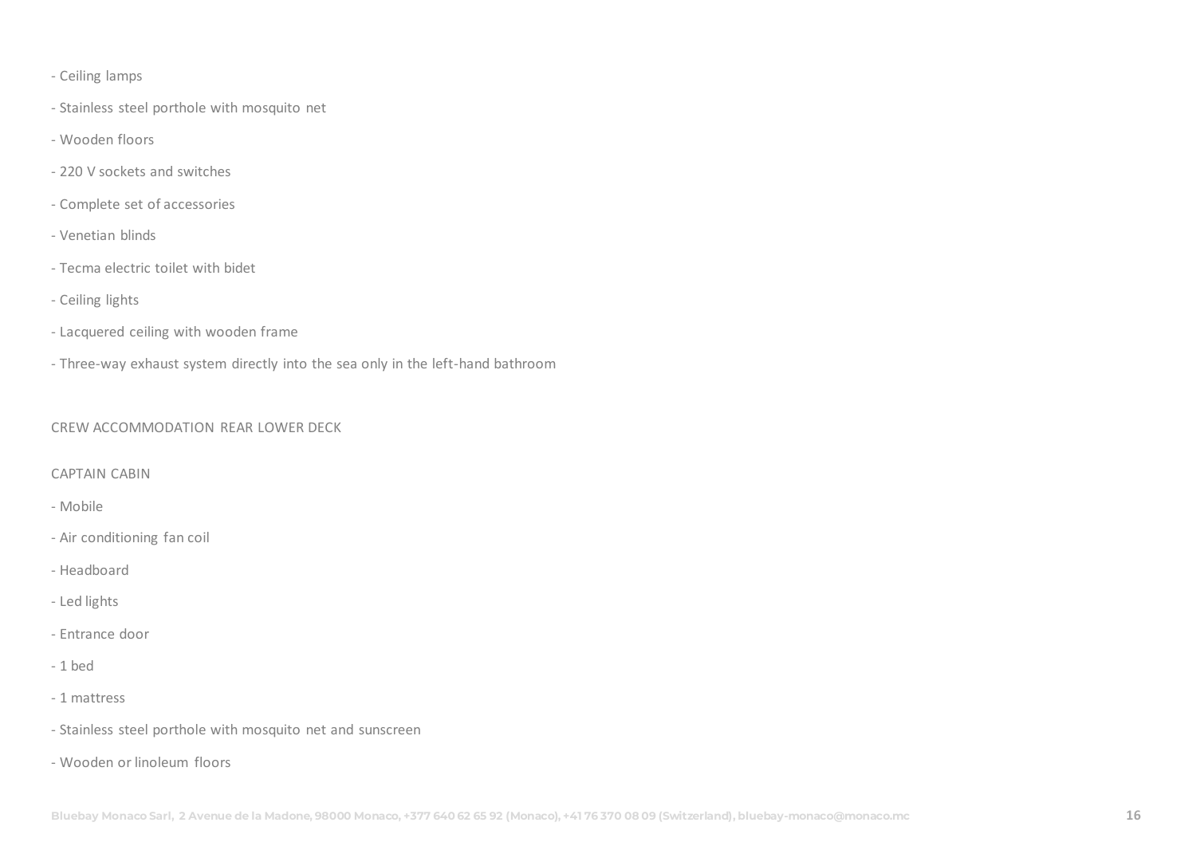- Ceiling lamps
- Stainless steel porthole with mosquito net
- Wooden floors
- 220 V sockets and switches
- Complete set of accessories
- Venetian blinds
- Tecma electric toilet with bidet
- Ceiling lights
- Lacquered ceiling with wooden frame
- Three-way exhaust system directly into the sea only in the left-hand bathroom

# CREW ACCOMMODATION REAR LOWER DECK

# CAPTAIN CABIN

- Mobile
- Air conditioning fan coil
- Headboard
- Led lights
- Entrance door
- 1 bed
- 1 mattress
- Stainless steel porthole with mosquito net and sunscreen
- Wooden or linoleum floors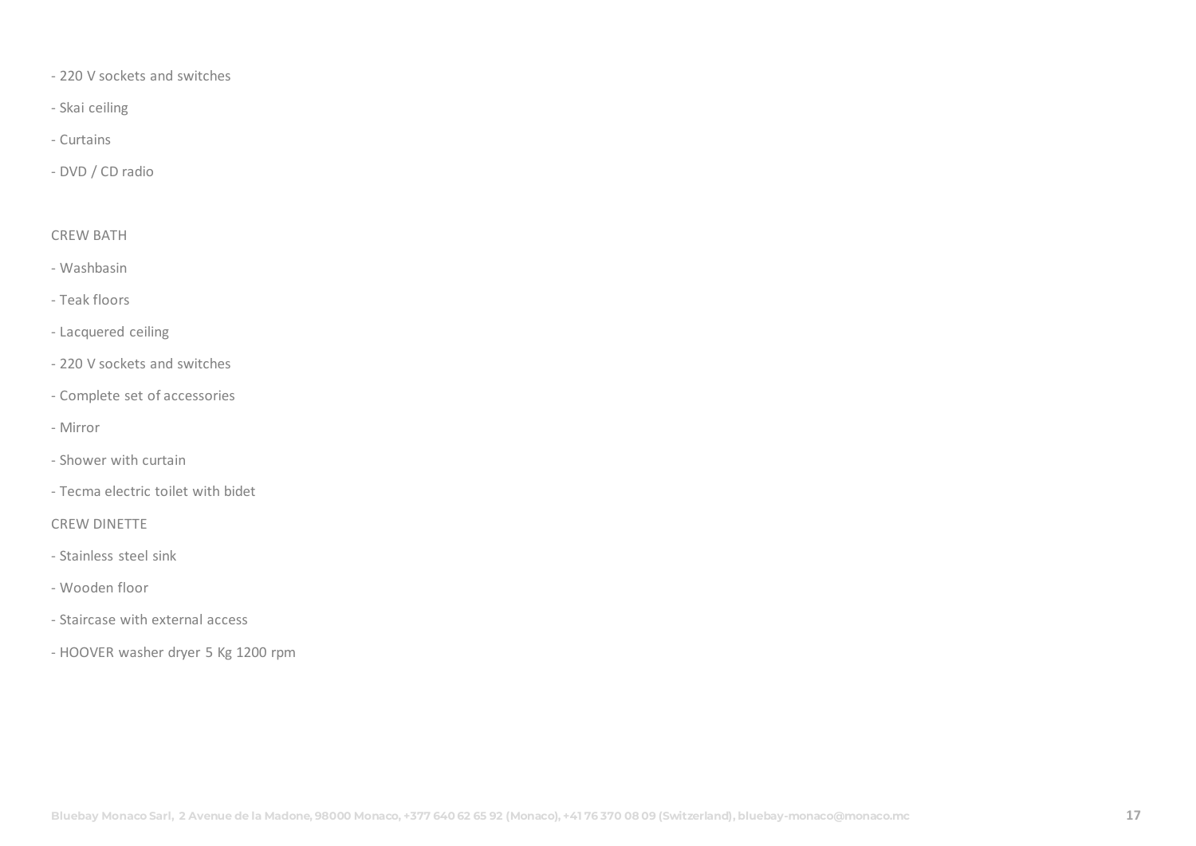- 220 V sockets and switches
- Skai ceiling
- Curtains
- DVD / CD radio

# CREW BATH

- Washbasin
- Teak floors

# - Lacquered ceiling

- 220 V sockets and switches
- Complete set of accessories
- Mirror
- Shower with curtain
- Tecma electric toilet with bidet

# CREW DINETTE

- Stainless steel sink
- Wooden floor
- Staircase with external access
- HOOVER washer dryer 5 Kg 1200 rpm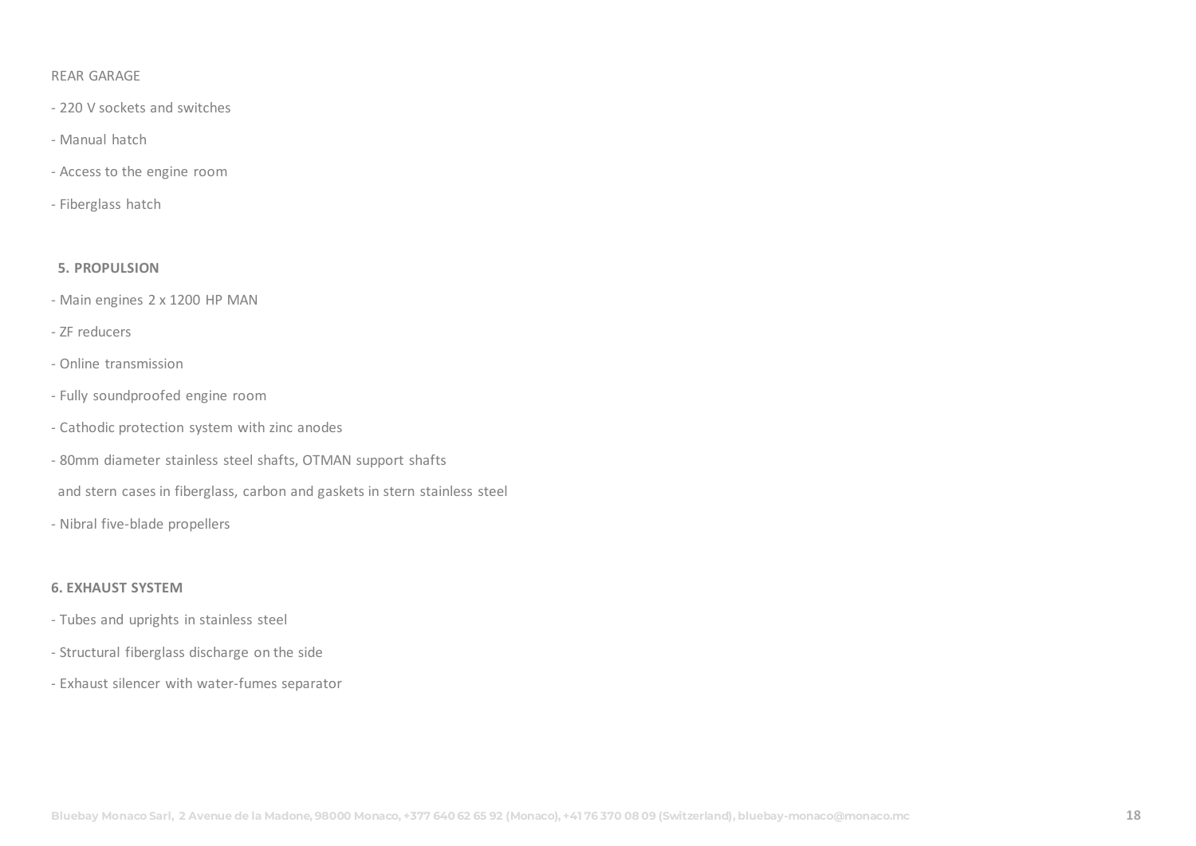#### REAR GARAGE

- 220 V sockets and switches
- Manual hatch
- Access to the engine room
- Fiberglass hatch

#### **5. PROPULSION**

- Main engines 2 x 1200 HP MAN
- ZF reducers
- Online transmission
- Fully soundproofed engine room
- Cathodic protection system with zinc anodes
- 80mm diameter stainless steel shafts, OTMAN support shafts
- and stern cases in fiberglass, carbon and gaskets in stern stainless steel
- Nibral five-blade propellers

#### **6. EXHAUST SYSTEM**

- Tubes and uprights in stainless steel
- Structural fiberglass discharge on the side
- Exhaust silencer with water-fumes separator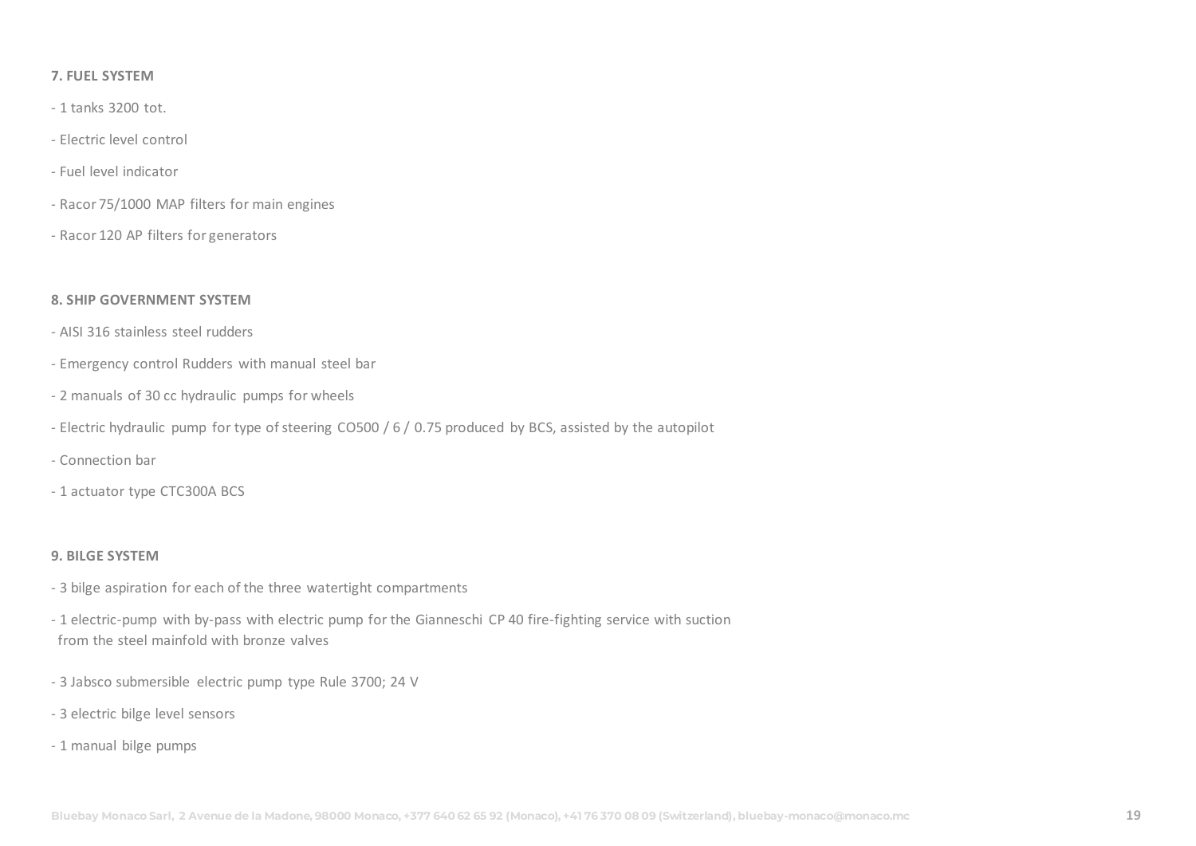#### **7. FUEL SYSTEM**

- 1 tanks 3200 tot.
- Electric level control
- Fuel level indicator
- Racor 75/1000 MAP filters for main engines
- Racor 120 AP filters for generators

## **8. SHIP GOVERNMENT SYSTEM**

- AISI 316 stainless steel rudders
- Emergency control Rudders with manual steel bar
- 2 manuals of 30 cc hydraulic pumps for wheels
- Electric hydraulic pump for type of steering CO500 / 6 / 0.75 produced by BCS, assisted by the autopilot
- Connection bar
- 1 actuator type CTC300A BCS

#### **9. BILGE SYSTEM**

- 3 bilge aspiration for each of the three watertight compartments
- 1 electric-pump with by-pass with electric pump for the Gianneschi CP 40 fire-fighting service with suction from the steel mainfold with bronze valves
- 3 Jabsco submersible electric pump type Rule 3700; 24 V
- 3 electric bilge level sensors
- 1 manual bilge pumps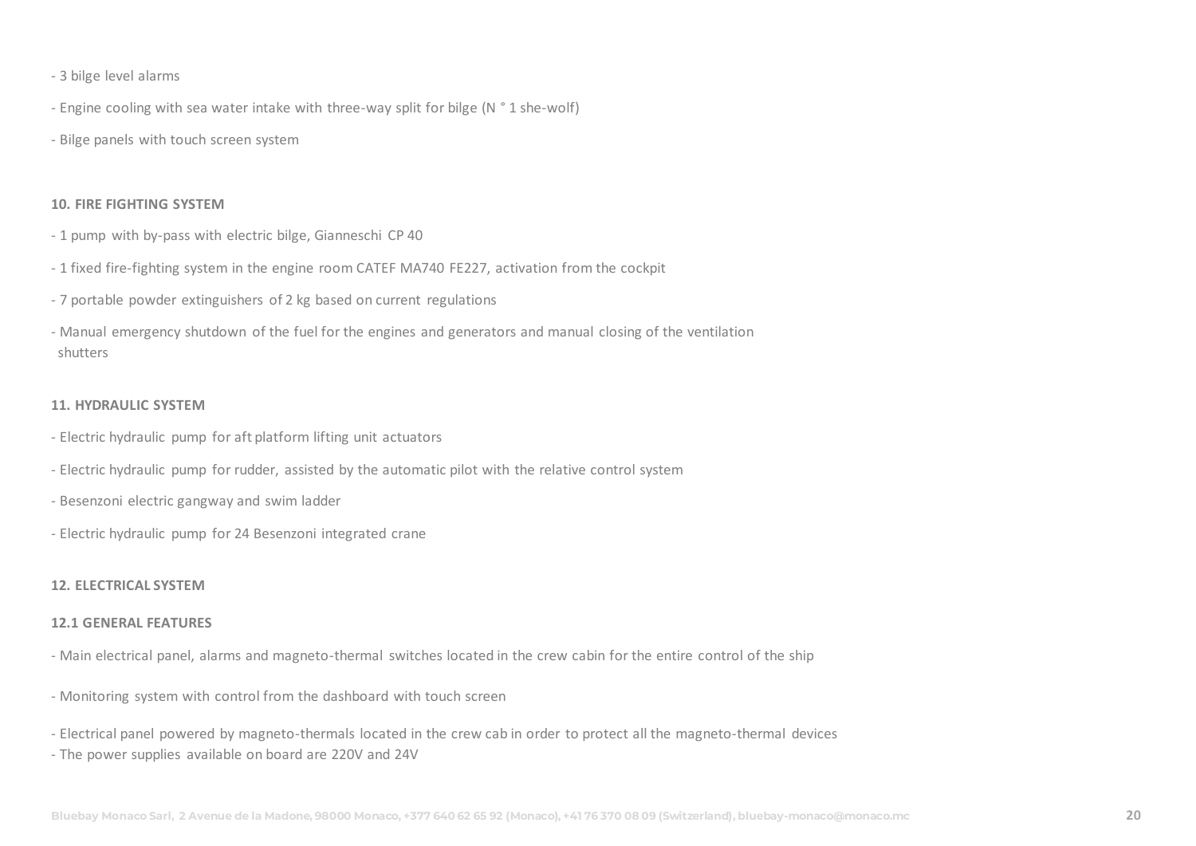- 3 bilge level alarms
- Engine cooling with sea water intake with three-way split for bilge (N ° 1 she-wolf)
- Bilge panels with touch screen system

#### **10. FIRE FIGHTING SYSTEM**

- 1 pump with by-pass with electric bilge, Gianneschi CP 40
- 1 fixed fire-fighting system in the engine room CATEF MA740 FE227, activation from the cockpit
- 7 portable powder extinguishers of 2 kg based on current regulations
- Manual emergency shutdown of the fuel for the engines and generators and manual closing of the ventilation shutters

#### **11. HYDRAULIC SYSTEM**

- Electric hydraulic pump for aft platform lifting unit actuators
- Electric hydraulic pump for rudder, assisted by the automatic pilot with the relative control system
- Besenzoni electric gangway and swim ladder
- Electric hydraulic pump for 24 Besenzoni integrated crane

#### **12. ELECTRICAL SYSTEM**

#### **12.1 GENERAL FEATURES**

- Main electrical panel, alarms and magneto-thermal switches located in the crew cabin for the entire control of the ship
- Monitoring system with control from the dashboard with touch screen
- Electrical panel powered by magneto-thermals located in the crew cab in order to protect all the magneto-thermal devices
- The power supplies available on board are 220V and 24V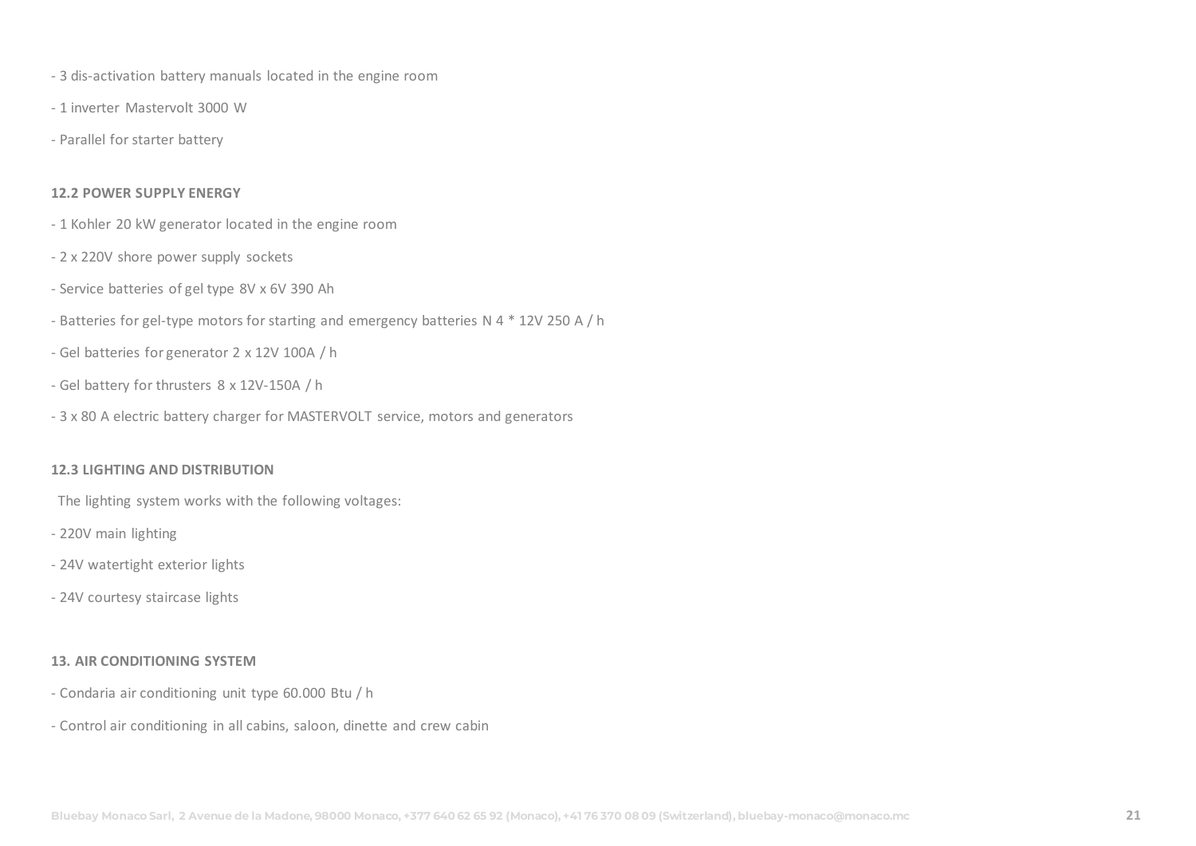- 3 dis-activation battery manuals located in the engine room
- 1 inverter Mastervolt 3000 W
- Parallel for starter battery

#### **12.2 POWER SUPPLY ENERGY**

- 1 Kohler 20 kW generator located in the engine room
- 2 x 220V shore power supply sockets
- Service batteries of gel type 8V x 6V 390 Ah
- Batteries for gel-type motors for starting and emergency batteries N 4 \* 12V 250 A / h
- Gel batteries for generator 2 x 12V 100A / h
- Gel battery for thrusters 8 x 12V-150A / h
- 3 x 80 A electric battery charger for MASTERVOLT service, motors and generators

#### **12.3 LIGHTING AND DISTRIBUTION**

The lighting system works with the following voltages:

- 220V main lighting
- 24V watertight exterior lights
- 24V courtesy staircase lights

#### **13. AIR CONDITIONING SYSTEM**

- Condaria air conditioning unit type 60.000 Btu / h
- Control air conditioning in all cabins, saloon, dinette and crew cabin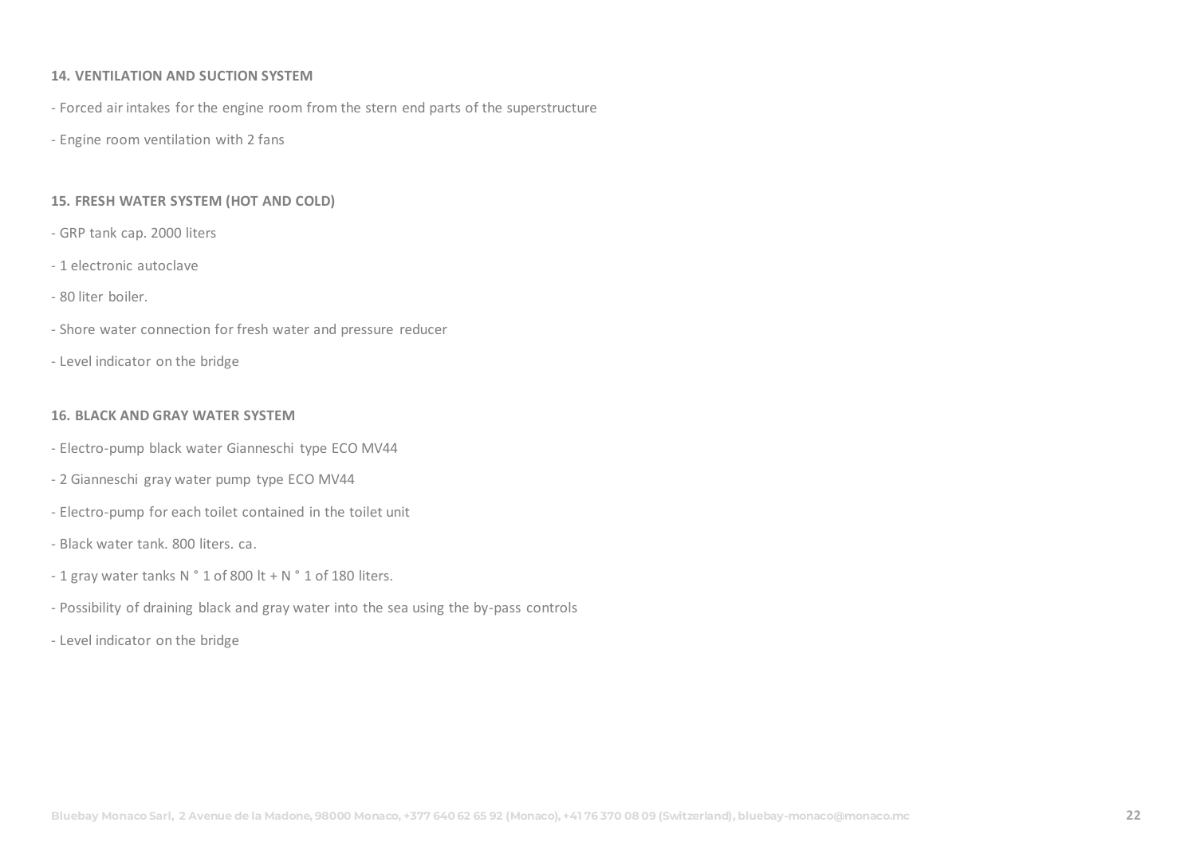#### **14. VENTILATION AND SUCTION SYSTEM**

- Forced air intakes for the engine room from the stern end parts of the superstructure
- Engine room ventilation with 2 fans

# **15. FRESH WATER SYSTEM (HOT AND COLD)**

- GRP tank cap. 2000 liters
- 1 electronic autoclave
- 80 liter boiler.
- Shore water connection for fresh water and pressure reducer
- Level indicator on the bridge

#### **16. BLACK AND GRAY WATER SYSTEM**

- Electro-pump black water Gianneschi type ECO MV44
- 2 Gianneschi gray water pump type ECO MV44
- Electro-pump for each toilet contained in the toilet unit
- Black water tank. 800 liters. ca.
- 1 gray water tanks N ° 1 of 800 lt + N ° 1 of 180 liters.
- Possibility of draining black and gray water into the sea using the by-pass controls
- Level indicator on the bridge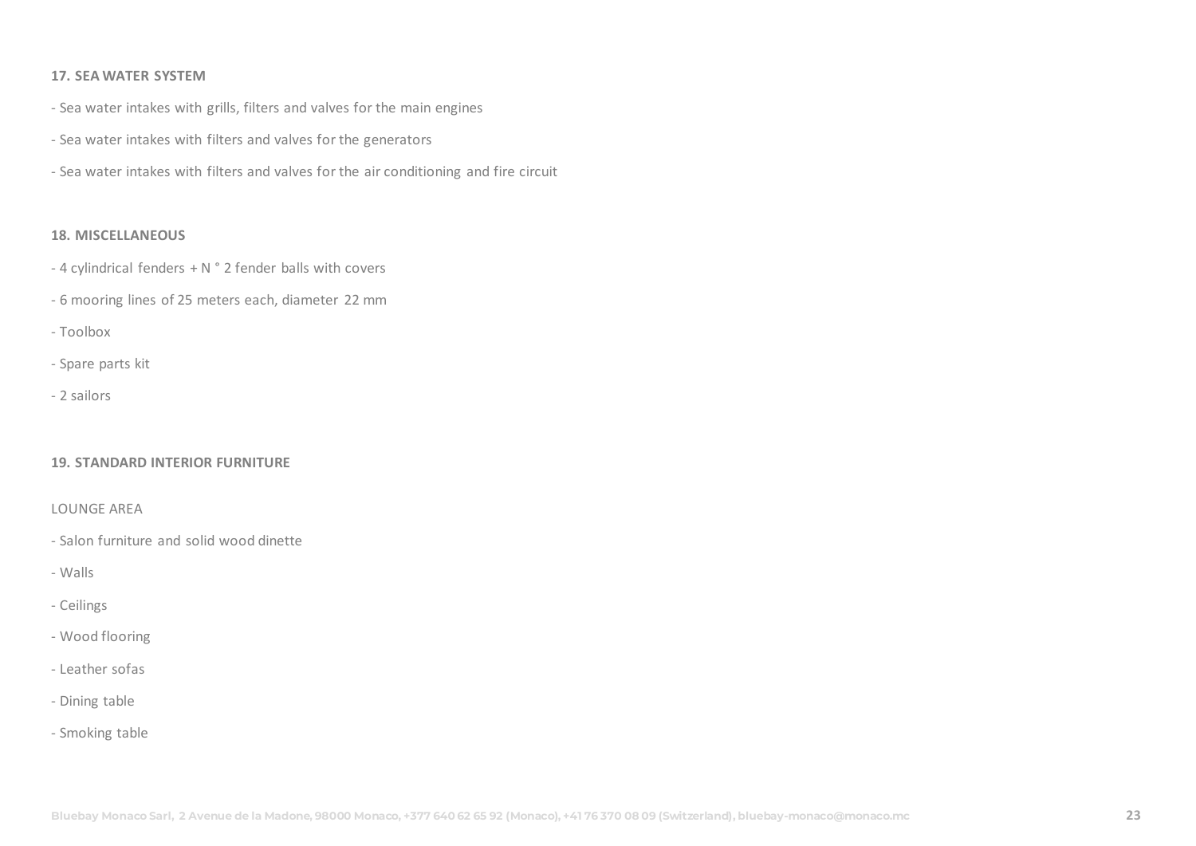#### **17. SEA WATER SYSTEM**

- Sea water intakes with grills, filters and valves for the main engines
- Sea water intakes with filters and valves for the generators
- Sea water intakes with filters and valves for the air conditioning and fire circuit

#### **18. MISCELLANEOUS**

- 4 cylindrical fenders  $+ N$   $^{\circ}$  2 fender balls with covers
- 6 mooring lines of 25 meters each, diameter 22 mm
- Toolbox
- Spare parts kit
- 2 sailors

### **19. STANDARD INTERIOR FURNITURE**

# LOUNGE AREA

- Salon furniture and solid wood dinette
- Walls
- Ceilings
- Wood flooring
- Leather sofas
- Dining table
- Smoking table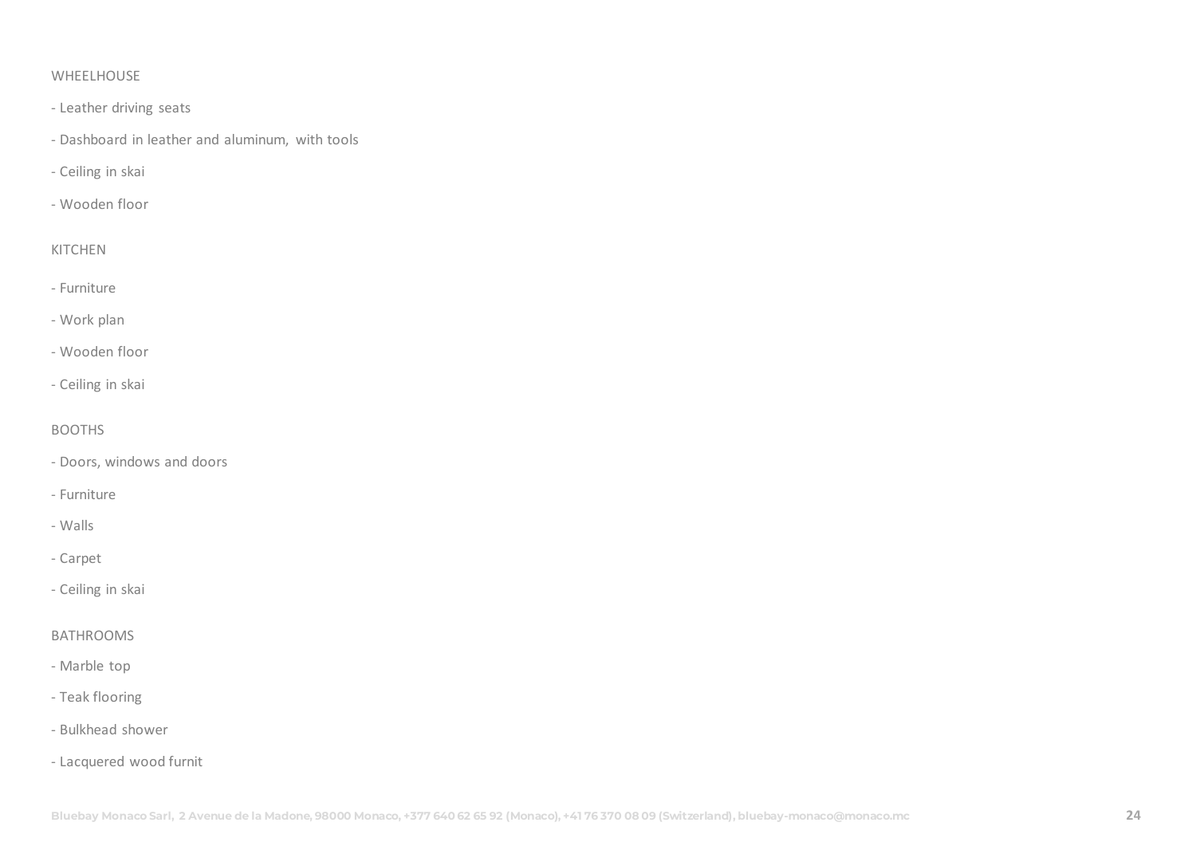# WHEELHOUSE

- Leather driving seats
- Dashboard in leather and aluminum, with tools
- Ceiling in skai
- Wooden floor

# KITCHEN

- Furniture
- Work plan
- Wooden floor
- Ceiling in skai

# BOOTHS

- Doors, windows and doors
- Furniture
- Walls
- Carpet
- Ceiling in skai

# BATHROOMS

- Marble top
- Teak flooring
- Bulkhead shower
- Lacquered wood furnit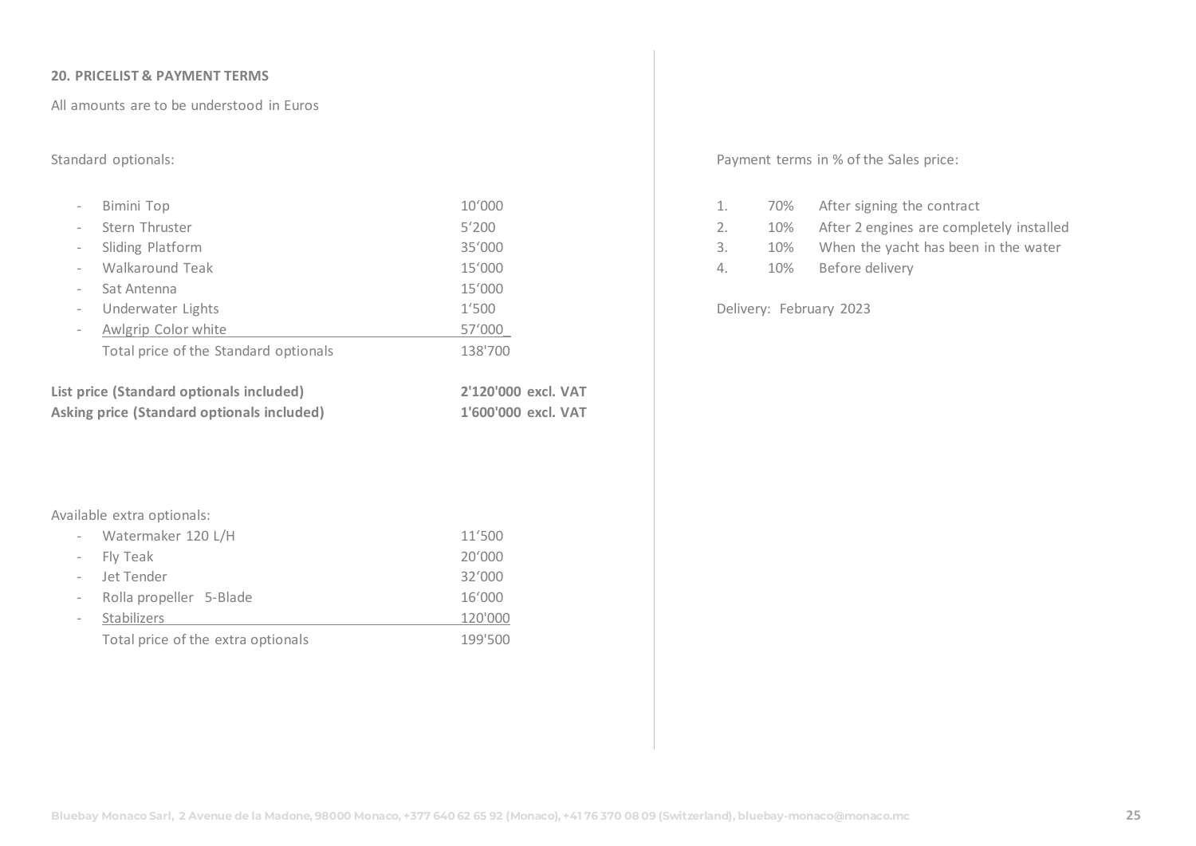# **20. PRICELIST & PAYMENT TERMS**

All amounts are to be understood in Euros

| Bimini Top                                        | 10'000              | 1. | 70% | After signing the contract               |
|---------------------------------------------------|---------------------|----|-----|------------------------------------------|
| Stern Thruster                                    | 5'200               | 2. | 10% | After 2 engines are completely installed |
| Sliding Platform                                  | 35'000              | 3. | 10% | When the yacht has been in the water     |
| Walkaround Teak                                   | 15'000              | 4. | 10% | Before delivery                          |
| Sat Antenna                                       | 15'000              |    |     |                                          |
| Underwater Lights                                 | 1'500               |    |     | Delivery: February 2023                  |
| Awlgrip Color white                               | 57'000              |    |     |                                          |
| Total price of the Standard optionals             | 138'700             |    |     |                                          |
| List price (Standard optionals included)          | 2'120'000 excl. VAT |    |     |                                          |
| <b>Asking price (Standard optionals included)</b> | 1'600'000 excl. VAT |    |     |                                          |
|                                                   |                     |    |     |                                          |
|                                                   |                     |    |     |                                          |
|                                                   |                     |    |     |                                          |
| Available extra optionals:<br>$\frac{1}{2}$       | A A / F A A         |    |     |                                          |

| Watermaker 120 L/H                 | 11'500  |
|------------------------------------|---------|
| - Fly Teak                         | 20'000  |
| Jet Tender                         | 32'000  |
| Rolla propeller 5-Blade            | 16'000  |
| Stabilizers                        | 120'000 |
| Total price of the extra optionals | 199'500 |

Standard optionals: **Payment terms in % of the Sales price:** Payment terms in % of the Sales price:

| 1. | 70% | After signing the contract                          |
|----|-----|-----------------------------------------------------|
| 2. | 10% | After 2 engines are completely installengle After 2 |
| 3. | 10% | When the yacht has been in the wate                 |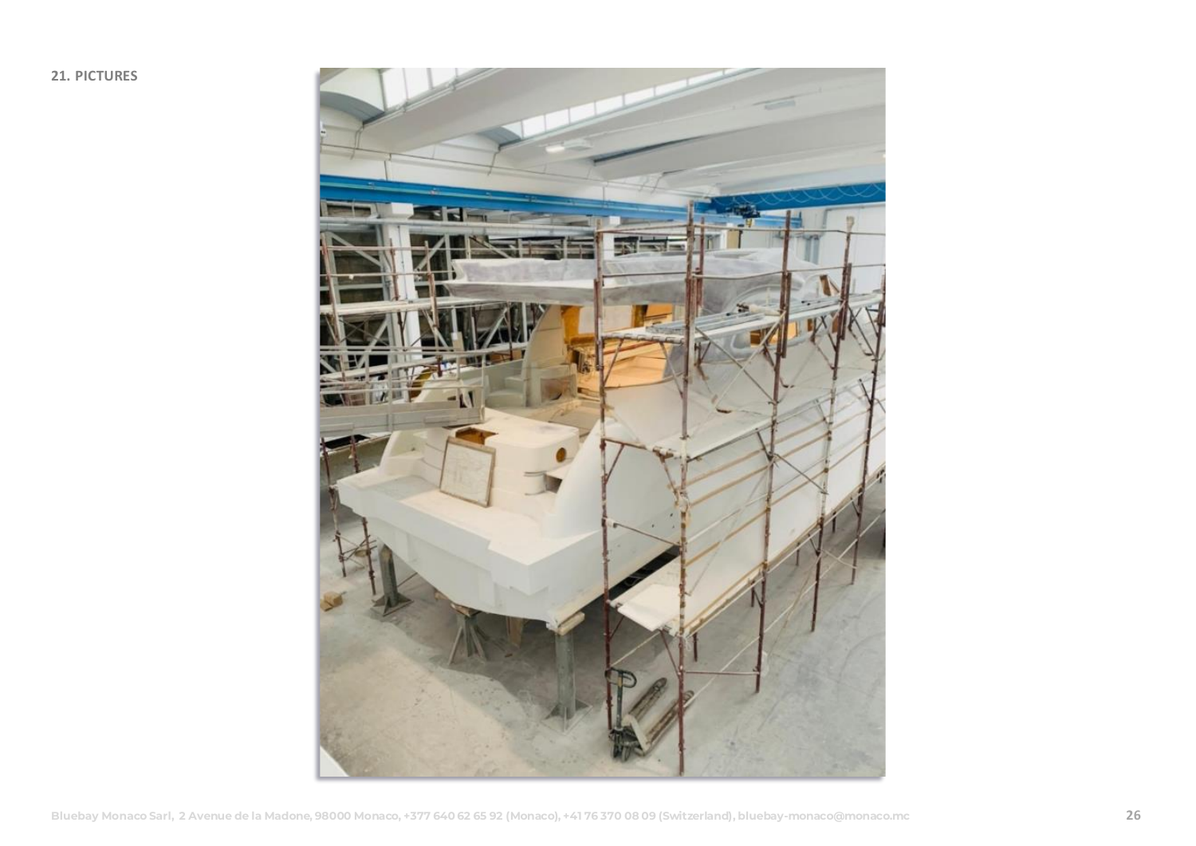# **21. PICTURES**

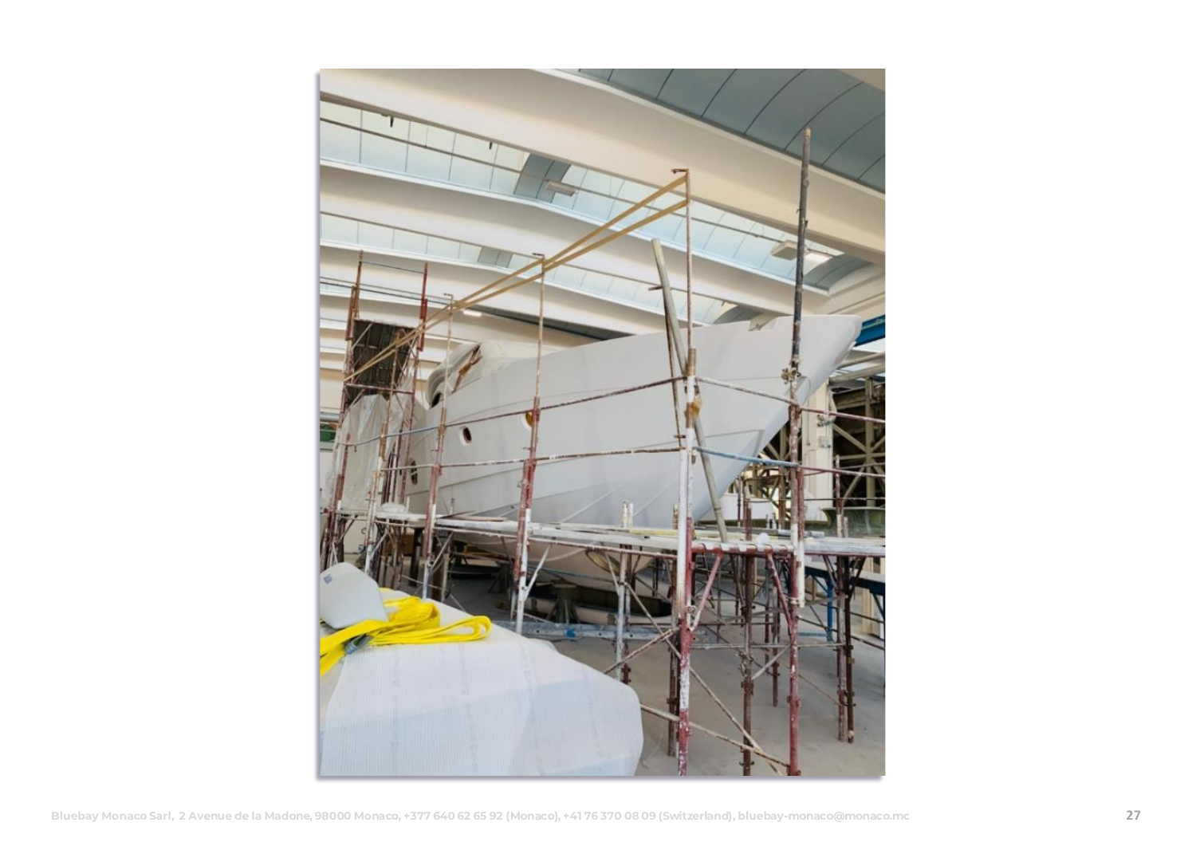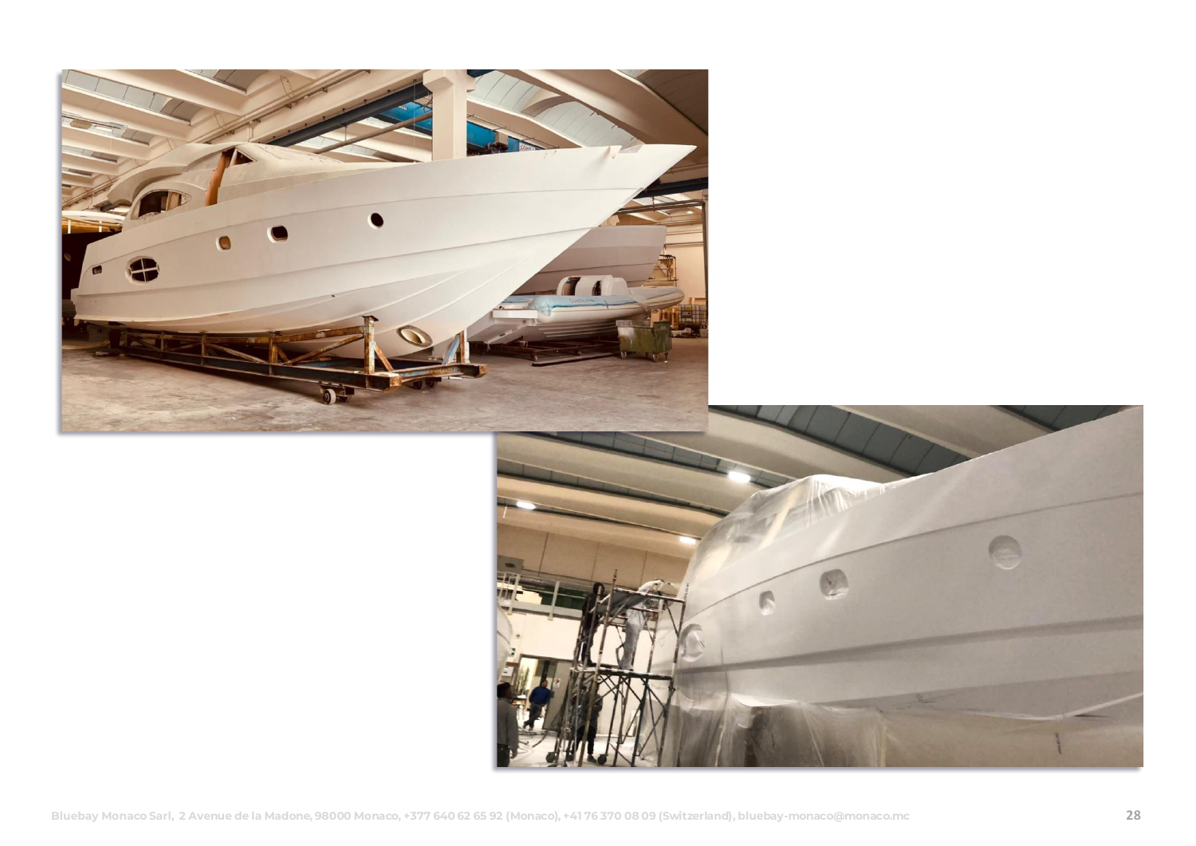